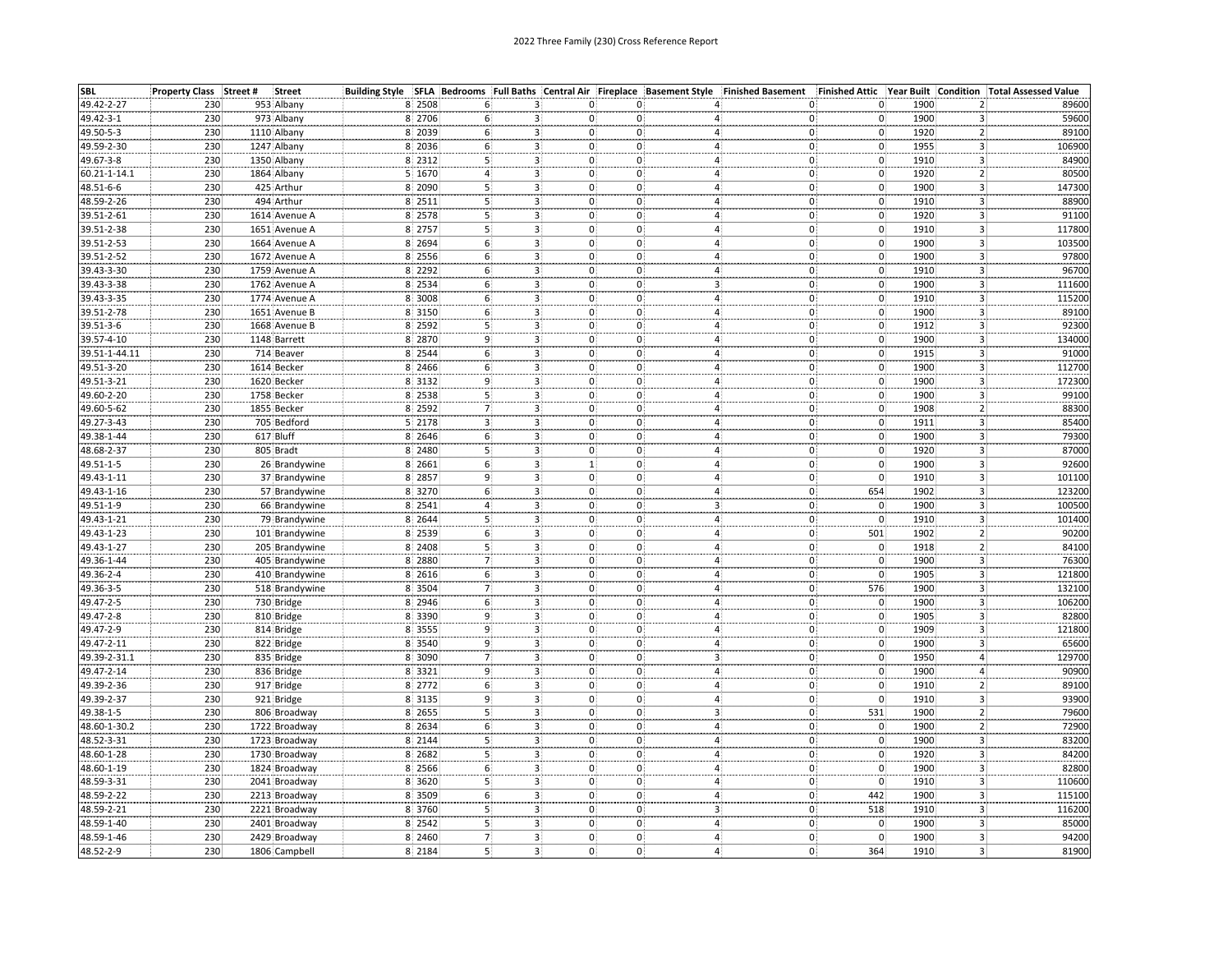| <b>SBL</b>    | Property Class Street # | <b>Street</b>  |        |                |                                           |                                        |                   | Building Style SFLA Bedrooms Full Baths Central Air Fireplace Basement Style Finished Basement | Finished Attic Year Built            |                                      | <b>Condition Total Assessed Value</b> |
|---------------|-------------------------|----------------|--------|----------------|-------------------------------------------|----------------------------------------|-------------------|------------------------------------------------------------------------------------------------|--------------------------------------|--------------------------------------|---------------------------------------|
| 49.42-2-27    | 230                     | 953 Albany     | 8 2508 |                | з.                                        | 0.                                     | 0.                | 0                                                                                              | $\mathbf 0$                          | 1900<br>$\mathbf{2}$                 | 89600                                 |
| 49.42-3-1     | 230                     | 973 Albany     | 8 2706 |                |                                           | о:                                     | 0                 | 0.<br>4                                                                                        | $\mathbf 0$                          | 1900<br>3                            | 59600                                 |
| 49.50-5-3     | 230                     | 1110 Albany    | 8 2039 |                |                                           | $3 -$<br>0.                            | $\mathbf{0}$      | 0<br>4                                                                                         | $\mathbf{0}$                         | 1920<br>$\overline{2}$               | 89100                                 |
| 49.59-2-30    | 230                     | 1247 Albany    | 8 2036 | 6              | 3.                                        | 0                                      | $\mathbf{0}$      | 0<br>4                                                                                         | $\mathbf 0$                          | 1955<br>3                            | 106900                                |
| 49.67-3-8     | 230                     | 1350 Albany    | 8 2312 | 5              | 3.                                        | $\mathbf{0}$                           | 0.                | $\mathbf{0}$<br>4.                                                                             | $\mathfrak{o}$                       | 1910<br>3.                           | 84900                                 |
| 60.21-1-14.1  | 230                     | 1864 Albany    | 5 1670 |                | 3 <sup>1</sup>                            | $\mathbf{0}$                           | 0                 | 4 <sup>1</sup><br>$\mathbf{0}$                                                                 | $\mathbf{0}$                         | $\overline{2}$<br>1920               | 80500                                 |
| 48.51-6-6     | 230                     | 425 Arthur     | 8 2090 | 5              | 3 <sub>1</sub>                            | $\mathbf 0$                            | 0                 | 4 <sub>1</sub>                                                                                 | $\mathbf 0$                          | 1900                                 | 147300                                |
| 48.59-2-26    | 230                     | 494 Arthur     | 8 2511 | 5              |                                           | $\overline{\mathbf{3}}$<br>$\mathbf 0$ | $\mathbf{o}$      | $\begin{matrix} 0 \ 0 \end{matrix}$<br>4:                                                      | $\mathbf{0}$                         | $\frac{3}{3}$<br>1910                | 88900                                 |
| 39.51-2-61    | 230                     | 1614 Avenue A  | 8 2578 | 5              | 3 <sup>1</sup>                            | 0:                                     | $\mathbf{0}$      | 4:<br>$\mathbf{0}$                                                                             | $\overline{0}$                       | $\overline{3}$<br>1920               | 91100                                 |
| 39.51-2-38    | 230                     | 1651 Avenue A  | 8 2757 | 5 <sup>1</sup> |                                           | 3 <sub>1</sub><br>$\mathbf 0$ .        | $\mathbf 0$       | $\overline{4}$<br>$\mathbf{0}$                                                                 | $\mathbf{0}$ .                       | $\mathbf{3}$<br>1910                 | 117800                                |
| 39.51-2-53    | 230                     | 1664 Avenue A  | 8 2694 | 6(             |                                           | 3 <sup>2</sup><br>$\mathbf{0}$         | $\mathbf{0}$      | 4:<br>0)                                                                                       | $\mathbf{0}$                         | $\overline{\mathbf{3}}$<br>1900      | 103500                                |
| 39.51-2-52    | 230                     | 1672 Avenue A  | 8 2556 | $6\}$          |                                           | 3 <sup>1</sup><br>0 <sup>1</sup>       | $\mathbf{0}$      | - 3<br>0)<br>$\overline{4}$                                                                    | $\overline{\mathbf{0}}$              | 3<br>1900                            | 97800                                 |
| 39.43-3-30    | 230                     | 1759 Avenue A  | 8 2292 | 6              |                                           | $\mathbf{0}$                           | 0                 | 0                                                                                              | $\mathbf 0$                          | 1910<br>3                            | 96700                                 |
| 39.43-3-38    | 230                     | 1762 Avenue A  | 8 2534 | 6              | 3.                                        | $\mathbf{0}^{\mathsf{T}}$              | 0.                | 4<br>$\mathbf{0}$                                                                              | $\mathbf{0}$                         | 1900<br>$\overline{\mathbf{3}}$      | 111600                                |
|               | 230                     |                |        | 6              | 3 <sup>1</sup>                            | 3.<br>$\mathbf{0}$                     | $0^{\circ}$       | з.<br>4:<br>$\mathbf{0}$                                                                       | $\overline{0}$                       | $\overline{\mathbf{3}}$              |                                       |
| 39.43-3-35    |                         | 1774 Avenue A  | 8 3008 |                |                                           |                                        |                   |                                                                                                |                                      | 1910                                 | 115200                                |
| 39.51-2-78    | 230<br>230              | 1651 Avenue B  | 8 3150 | 6 <sup>3</sup> | 3 <sup>1</sup><br>$\overline{\mathbf{3}}$ | $\mathbf 0$                            | 0<br>$\mathbf{0}$ | 4:<br>$\begin{matrix} 0 \ 0 \end{matrix}$<br>$\overline{4}$                                    | $\begin{matrix} 0 \\ 0 \end{matrix}$ | 3<br>1900<br>$\overline{\mathbf{3}}$ | 89100                                 |
| 39.51-3-6     |                         | 1668 Avenue B  | 8 2592 | $\overline{5}$ |                                           | $\mathbf 0$                            |                   | $4^{\frac{1}{2}}$                                                                              |                                      | 1912                                 | 92300                                 |
| 39.57-4-10    | 230                     | 1148 Barrett   | 8 2870 | 9              | 3 <sup>1</sup>                            | 0.                                     | 0:                | 0)                                                                                             | $\mathbf 0$                          | $\overline{\mathbf{3}}$<br>1900      | 134000                                |
| 39.51-1-44.11 | 230                     | 714 Beaver     | 8 2544 | 6 <sup>3</sup> | 3 <sup>1</sup>                            | $\mathbf 0$                            | $\mathbf 0$       | 4 <sup>1</sup><br>$\mathsf{o}^{\scriptscriptstyle\prime}_i$                                    | $\mathbf{0}$                         | 3<br>1915                            | 91000                                 |
| 49.51-3-20    | 230                     | 1614 Becker    | 8 2466 | 6              |                                           | 0:<br>3.                               | 0.                | 0)<br>4.                                                                                       | $\begin{matrix} 0 \\ 0 \end{matrix}$ | 1900<br>3                            | 112700                                |
| 49.51-3-21    | 230                     | 1620 Becker    | 8 3132 |                |                                           | 3.<br>0:                               | 0                 | 0<br>4                                                                                         |                                      | 1900<br>3                            | 172300                                |
| 49.60-2-20    | 230                     | 1758 Becker    | 8.2538 | 5              | 3.                                        | 0.                                     | 0.                | $\tilde{0}$<br>4                                                                               | $\mathbf 0$                          | 1900<br>3                            | 99100                                 |
| 49.60-5-62    | 230                     | 1855 Becker    | 8 2592 |                |                                           | 3.<br>0:                               | 0                 | 0<br>4                                                                                         | 0                                    | 1908<br>$\mathbf{2}$                 | 88300                                 |
| 49.27-3-43    | 230                     | 705 Bedford    | 5 2178 |                | 3 <sup>1</sup>                            | $\mathbf{0}$                           | 0 <sub>1</sub>    | 0)<br>4                                                                                        | $\overline{\mathbf{0}}$              | 3<br>1911                            | 85400                                 |
| 49.38-1-44    | 230                     | 617 Bluff      | 8 2646 | 6 <sup>3</sup> | 3 <sup>1</sup>                            | $\mathbf 0$ .                          | $\mathbf{0}$      | $\overline{4}$<br>0ł                                                                           | $\mathbf 0$                          | 1900<br>3                            | 79300                                 |
| 48.68-2-37    | 230                     | 805 Bradt      | 8 2480 | 5              | 3 <sub>1</sub>                            | $\mathbf 0$                            | 0                 | 0)<br>4                                                                                        | $\mathbf{0}$                         | 3<br>1920                            | 87000                                 |
| 49.51-1-5     | 230                     | 26 Brandywine  | 8 2661 | 6              |                                           | 3 <sup>1</sup><br>$\mathbf{1}$ :       | $\mathbf{0}$      | $\overline{4}$<br>0)                                                                           | $\overline{\mathbf{0}}$              | $\overline{\mathbf{3}}$<br>1900      | 92600                                 |
| 49.43-1-11    | 230                     | 37 Brandywine  | 8 2857 | 9              | 3.                                        | 0.                                     | $\mathbf{0}$      | 4<br>$\mathbf{0}$                                                                              | $\overline{\mathbf{0}}$              | 1910<br>3                            | 101100                                |
| 49.43-1-16    | 230                     | 57 Brandywine  | 8 3270 | 6              | $\overline{\mathbf{3}}$                   | 0.                                     | 0.                | $\mathbf{0}$<br>4                                                                              | 654                                  | 1902<br>3                            | 123200                                |
| 49.51-1-9     | 230                     | 66 Brandywine  | 8 2541 |                |                                           | $\mathbf 0$<br>3.                      | $\mathbf{0}$      | 0<br>з.                                                                                        | $\mathbf{0}$                         | 1900<br>3                            | 100500                                |
| 49.43-1-21    | 230                     | 79 Brandywine  | 8 2644 |                | 3                                         | $0^{\circ}$                            | $\mathbf{0}$      | 0<br>4                                                                                         | $\mathbf{0}$                         | 1910<br>3                            | 101400                                |
| 49.43-1-23    | 230                     | 101 Brandywine | 8 2539 | 6              | 3.                                        | 0                                      | 0.                | 0<br>4                                                                                         | 501                                  | 1902<br>2                            | 90200                                 |
| 49.43-1-27    | 230                     | 205 Brandywine | 8 2408 |                |                                           | $\mathbf{0}$                           | 0                 | 0<br>4                                                                                         | $\mathbf{0}$                         | $\mathbf{2}$<br>1918                 | 84100                                 |
| 49.36-1-44    | 230                     | 405 Brandywine | 8 2880 | $\overline{7}$ | 3.                                        | $\mathbf{0}$                           | $\mathbf{0}$      | 0<br>4 <sup>1</sup>                                                                            | $\mathbf{0}$                         | 1900<br>3.                           | 76300                                 |
| 49.36-2-4     | 230                     | 410 Brandywine | 8 2616 | 6(             | 3 <sub>1</sub>                            | $\mathbf 0$                            | $\mathbf{0}$      | 4<br>0                                                                                         | $\mathbf 0$                          | 1905<br>3                            | 121800                                |
| 49.36-3-5     | 230                     | 518 Brandywine | 8 3504 | $\overline{7}$ |                                           | $\mathbf{0}$<br>3 <sup>1</sup>         | $\mathbf{0}$      | 4 <sup>1</sup><br>$\mathbf{0}$                                                                 | 576                                  | 1900<br>3                            | 132100                                |
| 49.47-2-5     | 230                     | 730 Bridge     | 8 2946 | 6(             |                                           | $3^{\circ}$<br>$\mathbf{0}$            | $\mathbf{0}$      | $\mathsf{o}$<br>4                                                                              | $\overline{0}$                       | $\overline{\mathbf{3}}$<br>1900      | 106200                                |
| 49.47-2-8     | 230                     | 810 Bridge     | 8 3390 | 9              | 3                                         | 0.                                     | 0                 | $\vert 0 \rangle$<br>4                                                                         |                                      | 1905<br>3                            | 82800                                 |
| 49.47-2-9     | 230                     | 814 Bridge     | 8 3555 |                |                                           | 3 <sup>1</sup><br>$\mathbf{0}$         | $\mathbf{0}$      | 0<br>4.                                                                                        | $\begin{matrix} 0 \\ 0 \end{matrix}$ | 1909<br>3                            | 121800                                |
| 49.47-2-11    | 230                     | 822 Bridge     | 8 3540 |                |                                           | 0                                      | 0.                | $\mathbf{0}$<br>4                                                                              | $\overline{\mathbf{0}}$              | 1900<br>з                            | 65600                                 |
| 49.39-2-31.1  | 230                     | 835 Bridge     | 8 3090 |                | 3.                                        | $\mathbf{0}$                           | $\mathbf{0}$      | 0<br>3.                                                                                        | $\mathbf{0}$                         | 1950<br>4.                           | 129700                                |
| 49.47-2-14    | 230                     | 836 Bridge     | 8 3321 | 9              | 3 <sub>1</sub>                            | $\mathbf{0}$                           | $\mathbf{0}$      | $\overline{\mathbf{4}}$<br>0)                                                                  | $\mathbf{0}$                         | $\overline{\mathbf{r}}$<br>1900      | 90900                                 |
| 49.39-2-36    | 230                     | 917 Bridge     | 8 2772 | 6              | 3.                                        | $\mathbf{0}$                           | 0 <sup>1</sup>    | 4 <sup>1</sup><br>0                                                                            | $\mathbf{0}$                         | 1910<br>$\overline{2}$               | 89100                                 |
| 49.39-2-37    | 230                     | 921 Bridge     | 8 3135 | $\overline{9}$ |                                           | 3 <sup>1</sup><br>$\mathbf{0}$         | $0^{\mathrm{!}}$  | 4 <sup>1</sup><br>0                                                                            | $\mathbf 0$                          | $\mathbf{3}$<br>1910                 | 93900                                 |
| 49.38-1-5     | 230                     | 806 Broadway   | 8 2655 | 5              |                                           | $\mathbf{0}$<br>3:                     | $\mathbf{0}$      | 3!<br>0                                                                                        | 531                                  | 1900<br>2:                           | 79600                                 |
| 48.60-1-30.2  | 230                     | 1722 Broadway  | 8 2634 | 6              | 3.                                        | 0.                                     | 0.                | 4                                                                                              | $\mathbf{0}$                         | 1900<br>$\overline{2}$               | 72900                                 |
| 48.52-3-31    | 230                     | 1723 Broadway  | 8 2144 |                |                                           |                                        | 0.                | $\mathbf{0}$<br>4:                                                                             |                                      | 1900<br>3                            | 83200                                 |
| 48.60-1-28    | 230                     | 1730 Broadway  | 8 2682 |                | 3.<br>$\overline{3}$                      | $\mathbf{0}$<br>0 <sup>1</sup>         | $\mathbf{0}$      | $\begin{matrix} 0 \ 0 \end{matrix}$<br>4                                                       | $\begin{matrix} 0 \\ 0 \end{matrix}$ | 1920<br>3                            | 84200                                 |
| 48.60-1-19    | 230                     | 1824 Broadway  | 8 2566 | 6              | з.                                        | 0 <sup>1</sup>                         | $\mathbf{0}$      | 0)<br>4                                                                                        | $\mathbf{0}$                         | 1900<br>3                            | 82800                                 |
| 48.59-3-31    | 230                     | 2041 Broadway  | 8 3620 | 5              |                                           | 0.<br>3 <sup>1</sup>                   | 0                 | 0<br>$\overline{4}$                                                                            | $\overline{\mathfrak{o}}$            | 1910<br>3                            | 110600                                |
|               |                         |                |        |                |                                           |                                        |                   |                                                                                                |                                      |                                      |                                       |
| 48.59-2-22    | 230                     | 2213 Broadway  | 8 3509 | 6              |                                           | 3.<br>$\mathbf 0$ .                    | $\mathbf{0}$      | 4 <sub>1</sub><br>0)                                                                           | 442                                  | 3<br>1900<br>з,                      | 115100                                |
| 48.59-2-21    | 230                     | 2221 Broadway  | 8 3760 |                | 3.                                        | 0.                                     | 0:                | з¦<br>0)                                                                                       | 518                                  | 1910                                 | 116200                                |
| 48.59-1-40    | 230                     | 2401 Broadway  | 8 2542 | 5              |                                           | 3.<br>$\mathbf{0}$                     | 0:                | 0<br>4:                                                                                        | $\mathbf 0$                          | 1900<br>3.                           | 85000                                 |
| 48.59-1-46    | 230                     | 2429 Broadway  | 8 2460 | 7)             |                                           | 3 <sup>1</sup><br>$\mathbf 0$          | $\mathbf 0$       | 4 <sup>1</sup><br>0                                                                            | $\mathbf{0}$                         | 1900<br>3                            | 94200                                 |
| 48.52-2-9     | 230                     | 1806 Campbell  | 8 2184 | 5              |                                           | 3.<br>0.                               | 0.                | 0<br>4.                                                                                        | 364                                  | 1910<br>3.                           | 81900                                 |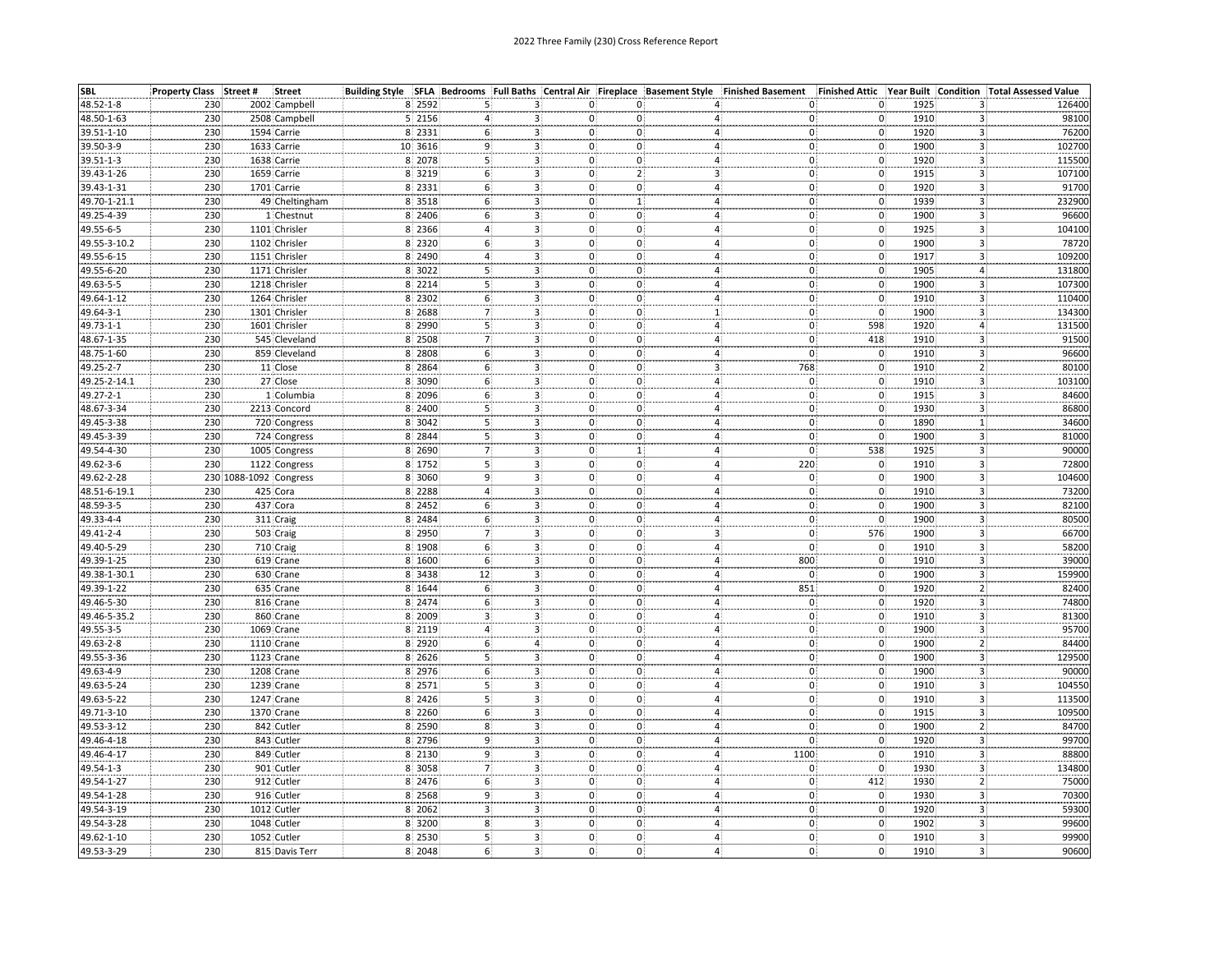| <b>SBL</b>   | Property Class Street # |                        | <b>Street</b>  |         | Building Style SFLA Bedrooms Full Baths Central Air Fireplace Basement Style Finished Basement |                               |                                 |   |                                                         |                                      | Finished Attic Year Built Condition Total Assessed Value |                                          |
|--------------|-------------------------|------------------------|----------------|---------|------------------------------------------------------------------------------------------------|-------------------------------|---------------------------------|---|---------------------------------------------------------|--------------------------------------|----------------------------------------------------------|------------------------------------------|
| 48.52-1-8    | 230                     |                        | 2002 Campbell  | 8 2592  |                                                                                                | з.                            | 0.<br>0:                        |   | 0.                                                      | 0.                                   | 1925<br>3.                                               | 126400                                   |
| 48.50-1-63   | 230                     |                        | 2508 Campbell  | 5 2156  |                                                                                                | 0:                            | $\mathbf{0}$                    | 4 | 0.                                                      | 0                                    | 1910<br>3                                                | 98100                                    |
| 39.51-1-10   | 230                     |                        | 1594 Carrie    | 8 2331  |                                                                                                | 3 <sup>1</sup>                | 0<br>0.                         |   | $\overline{\mathbf{r}}$<br>0                            | $\mathbf{0}$                         | 1920<br>3                                                | 76200                                    |
| 39.50-3-9    | 230                     |                        | 1633 Carrie    | 10 3616 |                                                                                                | 0:<br>З.                      | 0:                              |   | 0)<br>4                                                 | $\mathbf 0$                          | 1900<br>$\overline{3}$                                   | 102700                                   |
| 39.51-1-3    | 230                     |                        | 1638 Carrie    | 8 2078  | 5                                                                                              | $\overline{\mathbf{0}}$<br>3. | 0:                              |   | 0<br>4.                                                 | $\mathfrak{o}$                       | 1920                                                     | 115500<br>З.                             |
| 39.43-1-26   | 230                     |                        | 1659 Carrie    | 8 3219  | 6                                                                                              | 3 <sup>1</sup><br>0:          | 2:                              |   | $\overline{3}$<br>$\mathbf{0}$                          | $\mathbf{0}$                         | 1915                                                     | $\overline{\mathbf{3}}$<br>107100        |
| 39.43-1-31   | 230                     |                        | 1701 Carrie    | 8 2331  | 6                                                                                              | 3 <sub>1</sub>                | $\mathbf{0}$<br>0:              |   | $\frac{4}{1}$<br>0                                      | $\mathbf 0$                          | 1920                                                     | 91700                                    |
| 49.70-1-21.1 | 230                     |                        | 49 Cheltingham | 8 3518  | 6                                                                                              | 0:<br>3.                      | $\mathbf{1}$                    |   | $\mathbf{o}$<br>4:                                      | $\mathbf{0}$                         | 1939                                                     | $\frac{3}{3}$<br>232900                  |
| 49.25-4-39   | 230                     |                        | 1 Chestnut     | 8 2406  | 6                                                                                              | $\overline{3}$                | 0.<br>0:                        |   | $\mathbf{0}$<br>4:                                      | $\mathbf{0}$                         | $\overline{3}$<br>1900                                   | 96600                                    |
| 49.55-6-5    | 230                     |                        | 1101 Chrisler  | 8 2366  | $\overline{4}$                                                                                 | 3 <sup>1</sup>                | 0<br>0:                         |   | 4 <sup>1</sup><br>0 <sup>1</sup>                        | $\mathbf{0}$ .                       | 1925                                                     | 3<br>104100                              |
| 49.55-3-10.2 | 230                     |                        | 1102 Chrisler  | 8 2320  | 6                                                                                              | 3 <sup>1</sup>                | 0<br>0:                         |   | $\overline{4}$<br>$ 0\rangle$                           | $\mathbf{0}$                         | 1900                                                     | $\overline{\mathbf{3}}$<br>78720         |
| 49.55-6-15   | 230                     |                        | 1151 Chrisler  | 8 2490  |                                                                                                | 3 <sup>1</sup><br>0:          | 0:                              |   | $\overline{a}$<br>0                                     | $\overline{\mathbf{0}}$              | 1917                                                     | 3<br>109200                              |
| 49.55-6-20   | 230                     |                        | 1171 Chrisler  | 8 3022  |                                                                                                | 3.                            | 0:<br>0:                        | 4 | 0)                                                      | $\mathbf 0$                          | 1905<br>4                                                | 131800                                   |
| 49.63-5-5    | 230                     |                        | 1218 Chrisler  | 8 2214  | 5                                                                                              | 3.<br>0:                      | 0.                              |   | 0<br>4                                                  | $\mathbf 0$                          | 1900                                                     | 107300<br>З.                             |
|              | 230                     |                        | 1264 Chrisler  | 8 2302  | 6                                                                                              | $3^{\circ}$                   | 0.<br>0:                        |   | 4 <sup>1</sup><br>$\mathbf{0}$                          | $\overline{0}$                       | 1910                                                     | $\overline{3}$<br>110400                 |
| 49.64-1-12   |                         |                        |                |         |                                                                                                |                               |                                 |   |                                                         |                                      |                                                          |                                          |
| 49.64-3-1    | 230<br>230              |                        | 1301 Chrisler  | 8 2688  | 7<br>5                                                                                         | 3 <sub>1</sub>                | 0:<br>0.<br>$\mathbf{0}^{\top}$ |   | $\frac{1}{2}$<br>$\begin{bmatrix} 0 \\ 0 \end{bmatrix}$ | $\mathbf 0$<br>598                   | 1900<br>1920                                             | 3.<br>134300<br>$\overline{4}$<br>131500 |
| 49.73-1-1    |                         |                        | 1601 Chrisler  | 8 2990  |                                                                                                | 0:<br>3.                      |                                 |   | 4                                                       |                                      |                                                          | $\overline{3}$                           |
| 48.67-1-35   | 230                     |                        | 545 Cleveland  | 8 2508  |                                                                                                | 3 <sup>1</sup><br>0.          | 0                               |   | 4 <sup>1</sup><br>$\mathbf{0}$                          | 418                                  | 1910                                                     | 91500                                    |
| 48.75-1-60   | 230                     |                        | 859 Cleveland  | 8 2808  | 6 <sup>1</sup>                                                                                 | 3.                            | 0;<br>0.                        |   | $\overline{a}$<br>O)                                    | $\mathbf{0}$                         | 1910                                                     | 3.<br>96600                              |
| 49.25-2-7    | 230                     |                        | 11 Close       | 8 2864  | 6                                                                                              | 3.                            | 0.<br>0.                        |   | 3:<br>768                                               | $\mathbf 0$                          | 1910                                                     | 80100<br>2:                              |
| 49.25-2-14.1 | 230                     |                        | 27 Close       | 8 3090  | 6                                                                                              | 3 <sup>1</sup><br>0:          | 0:                              |   | 4:<br>$\mathbf{0}$                                      | $\mathbf{0}$                         | з.<br>1910                                               | 103100                                   |
| 49.27-2-1    | 230                     |                        | 1 Columbia     | 8 2096  | 6                                                                                              | 0:<br>3.                      | 0!                              | 4 | $\Omega$                                                | $\mathbf 0$                          | 1915<br>3                                                | 84600                                    |
| 48.67-3-34   | 230                     |                        | 2213 Concord   | 8 2400  |                                                                                                | 0:<br>3.                      | 0.                              | 4 | 0                                                       | 0                                    | 1930<br>3                                                | 86800                                    |
| 49.45-3-38   | 230                     |                        | 720 Congress   | 8 3042  |                                                                                                | 0.<br>3.                      | 0:                              |   | $\overline{4}$<br>$\mathbf{0}$                          | $\overline{0}$ .                     | 1890<br>$\mathbf{1}$                                     | 34600                                    |
| 49.45-3-39   | 230                     |                        | 724 Congress   | 8 2844  | 5                                                                                              | 3.                            | 0.<br>0.                        |   | 4:<br>$\mathbf{0}$                                      | $\mathbf{0}$                         | 1900                                                     | 3.<br>81000                              |
| 49.54-4-30   | 230                     |                        | 1005 Congress  | 8 2690  |                                                                                                | 3 <sup>1</sup>                | 0.<br>1:                        |   | οł<br>4 <sup>i</sup>                                    | 538                                  | 1925                                                     | 3.<br>90000                              |
| 49.62-3-6    | 230                     |                        | 1122 Congress  | 8 1752  |                                                                                                | 3 <sup>1</sup><br>0.          | 0                               |   | $4^{\frac{1}{2}}$<br>220                                | $\mathbf{0}$                         | 1910                                                     | 3<br>72800                               |
| 49.62-2-28   |                         | 230 1088-1092 Congress |                | 8 3060  |                                                                                                | $3^{\circ}$<br>0:             | 0:                              | 4 | $\mathbf{0}$                                            | $\overline{\mathbf{0}}$              | 1900<br>$\overline{3}$                                   | 104600                                   |
| 48.51-6-19.1 | 230                     |                        | 425 Cora       | 8 2288  |                                                                                                | 0.<br>3.                      | 0.                              |   | $\mathbf{0}$<br>4                                       |                                      | 1910<br>3                                                | 73200                                    |
| 48.59-3-5    | 230                     |                        | 437 Cora       | 8 2452  |                                                                                                | 3 <sup>1</sup><br>0:          | 0.                              |   | 0(<br>4:                                                | $\begin{matrix} 0 \\ 0 \end{matrix}$ | 1900<br>3                                                | 82100                                    |
| 49.33-4-4    | 230                     |                        | 311 Craig      | 8 2484  |                                                                                                | 0:<br>з.                      | 0:                              | 4 | $\mathbf{0}$                                            | $\mathbf{0}$                         | 1900<br>3                                                | 80500                                    |
| 49.41-2-4    | 230                     |                        | 503 Craig      | 8 2950  |                                                                                                | 3.<br>0:                      | 0.                              | 3 | 0                                                       | 576                                  | 1900<br>3                                                | 66700                                    |
| 49.40-5-29   | 230                     |                        | 710 Craig      | 8 1908  | 6                                                                                              | $\mathbf{0}$ :<br>3.          | 0.                              |   | O,<br>$\overline{4}$                                    | $\mathbf 0$ .                        | 1910<br>3                                                | 58200                                    |
| 49.39-1-25   | 230                     |                        | 619 Crane      | 8 1600  | 6                                                                                              | 3.<br>0:                      | 0.                              |   | 800<br>$\overline{4}$                                   | $\overline{0}$                       | 1910                                                     | 39000<br>3.                              |
| 49.38-1-30.1 | 230                     |                        | 630 Crane      | 8 3438  | 12                                                                                             | 3 <sup>1</sup>                | 0:<br>0 <sup>:</sup>            |   | 4 <sup>1</sup><br>$\mathbf{0}$                          | $\mathbf{0}$                         | 1900                                                     | 3<br>159900                              |
| 49.39-1-22   | 230                     |                        | 635 Crane      | 8 1644  | 6                                                                                              | 3 <sup>1</sup>                | 0.<br>0:                        |   | 4 <sup>1</sup><br>851                                   | $\overline{0}$                       | 1920                                                     | 82400<br>$\mathbf{2}$                    |
| 49.46-5-30   | 230                     |                        | 816 Crane      | 8 2474  | 6                                                                                              | 0:<br>3.                      | 0:                              | 4 | $\mathbf{0}$                                            | $\overline{\mathbf{0}}$              | 1920<br>3                                                | 74800                                    |
| 49.46-5-35.2 | 230                     |                        | 860 Crane      | 8 2009  |                                                                                                | 3.                            | 0.<br>$\mathbf{0}$              | 4 | $\mathbf{0}$                                            |                                      | 1910<br>3                                                | 81300                                    |
| 49.55-3-5    | 230                     |                        | 1069 Crane     | 8 2119  |                                                                                                | 3 <sup>1</sup><br>0:          | 0:                              |   | 4:<br>0 <sup>1</sup>                                    | $\begin{matrix} 0 \\ 0 \end{matrix}$ | 1900<br>3                                                | 95700                                    |
| 49.63-2-8    | 230                     |                        | 1110 Crane     | 8 2920  |                                                                                                | 0.<br>4                       | 0:                              |   | $\mathbf{0}$<br>4:                                      | $\mathbf{0}$                         | 1900<br>$\overline{2}$                                   | 84400                                    |
| 49.55-3-36   | 230                     |                        | 1123 Crane     | 8 2626  | 5                                                                                              | 0.<br>3.                      | 0:                              |   | $\mathbf{0}$<br>4                                       | 0                                    | 1900<br>3.                                               | 129500                                   |
| 49.63-4-9    | 230                     |                        | 1208 Crane     | 8 2976  | 6                                                                                              | 3 <sub>1</sub><br>0:          | 0                               |   | 4 <sub>1</sub><br>0ļ                                    | $\mathbf 0$ .                        | 1900                                                     | 90000<br>$\mathbf{3}$                    |
| 49.63-5-24   | 230                     |                        | 1239 Crane     | 8 2571  | 5                                                                                              | 3.<br>0:                      | 0.                              |   | $\overline{4}$<br>0.                                    | $\mathbf{0}$                         | 1910                                                     | 104550<br>з.                             |
| 49.63-5-22   | 230                     |                        | 1247 Crane     | 8 2426  | $\overline{5}$                                                                                 | 3 <sup>1</sup>                | 0:<br>0:                        |   | 4 <sup>1</sup><br>0                                     | $\mathbf{0}$                         | 1910                                                     | 3 <sup>1</sup><br>113500                 |
| 49.71-3-10   | 230                     |                        | 1370 Crane     | 8 2260  | 6                                                                                              | 3 <sup>1</sup>                | 0.<br>0 <sup>1</sup>            |   | 4 <sup>1</sup><br> 0                                    | $\mathbf{0}$                         | 1915                                                     | 3.<br>109500                             |
| 49.53-3-12   | 230                     |                        | 842 Cutler     | 8 2590  | 8                                                                                              | 3.                            | 0.<br>0:                        | 4 | 0                                                       | $\overline{0}$                       | 1900<br>$\overline{2}$                                   | 84700                                    |
| 49.46-4-18   |                         |                        | 843 Cutler     | 8 2796  | 9                                                                                              |                               | 0.<br>$\Omega$                  |   | 0.                                                      |                                      | 1920                                                     | 99700                                    |
|              | 230                     |                        |                |         |                                                                                                | 3.                            |                                 |   | $\overline{a}$                                          | $\mathbf{0}$                         | 3                                                        |                                          |
| 49.46-4-17   | 230                     |                        | 849 Cutler     | 8 2130  | 9                                                                                              | $3^{\circ}$<br>0:             | 0:                              |   | $\overline{\mathbf{4}}$<br>1100                         | $\mathbf 0$                          | 1910<br>3<br>1930                                        | 88800                                    |
| 49.54-1-3    | 230                     |                        | 901 Cutler     | 8 3058  |                                                                                                | 0:<br>з.                      | 0:                              |   | 4:<br>0.                                                | $\mathbf 0$ .                        | 3                                                        | 134800                                   |
| 49.54-1-27   | 230                     |                        | 912 Cutler     | 8 2476  | 6                                                                                              | 3                             | 0.<br>0:                        |   | 4 <sup>1</sup><br>$\mathbf{0}$                          | 412                                  | 1930                                                     | 75000<br>$2^{\frac{1}{2}}$               |
| 49.54-1-28   | 230                     |                        | 916 Cutler     | 8 2568  | 9                                                                                              | 3 <sup>1</sup>                | 0.<br>0                         |   | 4 <sub>1</sub><br>$\mathbf{0}$                          | $\mathbf 0$                          | 1930                                                     | 70300<br>3.                              |
| 49.54-3-19   | 230                     |                        | 1012 Cutler    | 8 2062  |                                                                                                | 0:<br>3.                      | 0:                              |   | 0.<br>4                                                 | 0.                                   | 3<br>1920                                                | 59300                                    |
| 49.54-3-28   | 230                     |                        | 1048 Cutler    | 8 3200  | 8                                                                                              | 3 <sup>1</sup>                | 0.<br>0.                        |   | 0<br>4:                                                 | $\overline{\mathfrak{o}}$            | 1902<br>3                                                | 99600                                    |
| 49.62-1-10   | 230                     |                        | 1052 Cutler    | 8 2530  | $\overline{\mathbf{5}}$                                                                        | 3 <sub>1</sub>                | 0.<br>0                         |   | 4 <sub>1</sub><br>$0\}$                                 | $\mathbf 0$                          | 1910                                                     | 3<br>99900                               |
| 49.53-3-29   | 230                     |                        | 815 Davis Terr | 8 2048  | 61                                                                                             | 3.                            | 0:<br>0.                        |   | 4<br>01                                                 | $\mathbf{0}$                         | 1910                                                     | 90600<br>3.                              |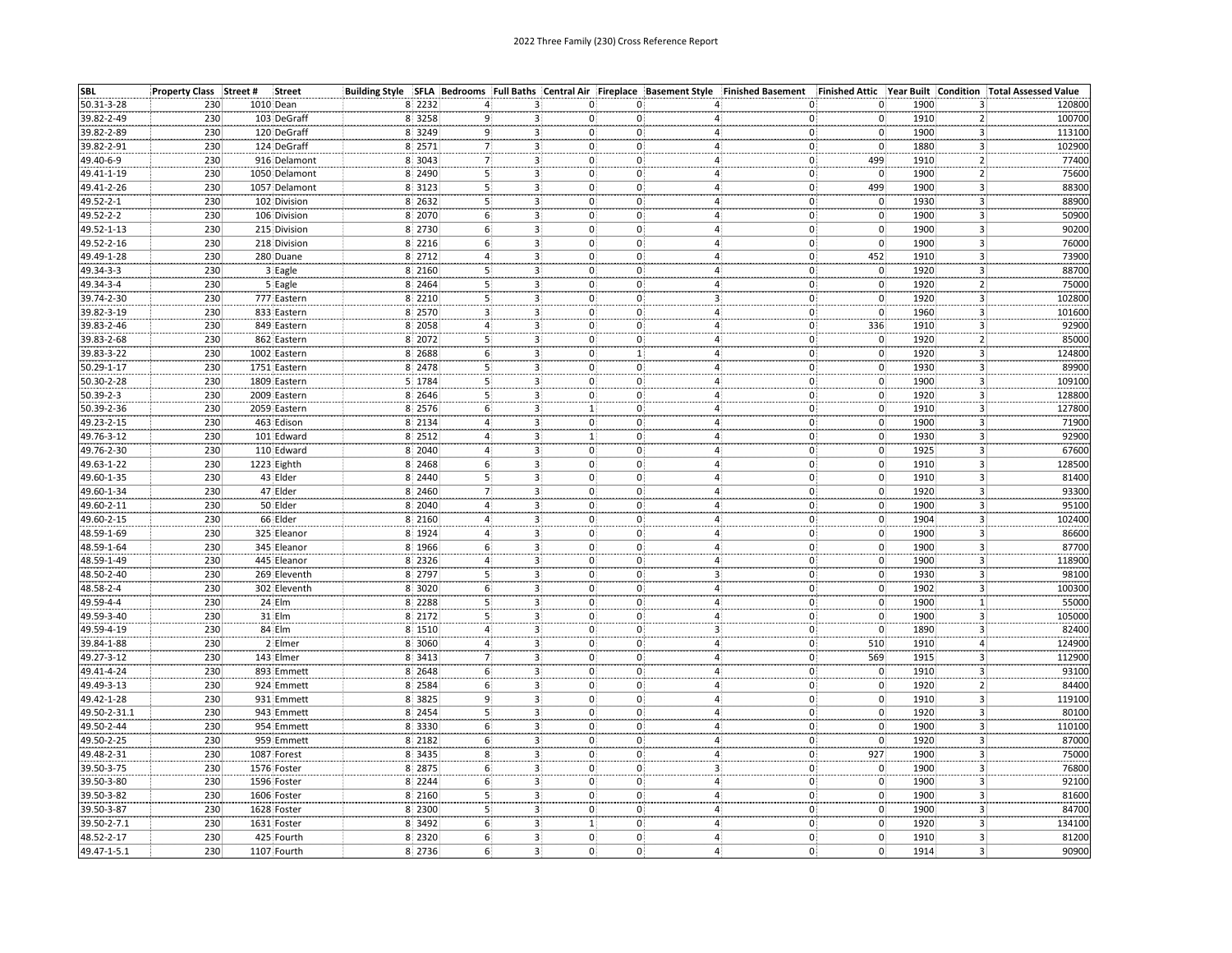| SBL          | Property Class Street # | <b>Street</b> |                  |                         |                              |                                           |   | Building Style SFLA Bedrooms Full Baths Central Air Fireplace Basement Style Finished Basement | Finished Attic Year Built                     |                                 | <b>Condition Total Assessed Value</b> |
|--------------|-------------------------|---------------|------------------|-------------------------|------------------------------|-------------------------------------------|---|------------------------------------------------------------------------------------------------|-----------------------------------------------|---------------------------------|---------------------------------------|
| 50.31-3-28   | 230                     | 1010 Dean     | 8 2232           |                         | з.                           | 0:<br>0:                                  |   | 0                                                                                              | 0.                                            | 1900                            | 120800<br>3                           |
| 39.82-2-49   | 230                     | 103 DeGraff   | 8 3258           |                         |                              | 0.<br>0:                                  | 4 | 0                                                                                              | $\mathbf 0$                                   | 1910                            | 100700<br>2                           |
| 39.82-2-89   | 230                     | 120 DeGraff   | 8 3249           |                         | 3.                           | 0:<br>0:                                  |   | 4<br>$\mathbf{0}$                                                                              | $\overline{0}$                                | 1900                            | 3<br>113100                           |
| 39.82-2-91   | 230                     | 124 DeGraff   | 8 2571           | $\overline{7}$          | 3.                           | 0:<br>0:                                  |   | $\mathbf{0}$<br>4                                                                              | $\mathbf 0$                                   | 1880<br>$\overline{\mathbf{3}}$ | 102900                                |
| 49.40-6-9    | 230                     | 916 Delamont  | 8 3043           | 7                       | з,                           | 0:<br>0:                                  |   | $\overline{0}$<br>4.                                                                           | 499                                           | 1910                            | 77400<br>2                            |
| 49.41-1-19   | 230                     | 1050 Delamont | 8 2490           | 5                       | 3                            | $\mathbf{0}$<br>$0^{\circ}$               |   | 4:<br>$\mathbf{0}$                                                                             | $\mathbf 0$                                   | 1900                            | $\overline{2}$<br>75600               |
| 49.41-2-26   | 230                     | 1057 Delamont | 8 3123           | 5)                      | 3 <sub>1</sub>               | 0:<br>0:                                  |   | 4 <sub>1</sub>                                                                                 | 499                                           | 1900                            | 88300                                 |
| 49.52-2-1    | 230                     | 102 Division  | 8 2632           | $\overline{\mathbf{5}}$ | 3.                           | $\mathbf 0$<br>0:                         |   | $\begin{matrix} 0 \\ 0 \end{matrix}$<br>4:                                                     | $\mathbf 0$                                   | 1930                            | $\frac{3}{3}$<br>88900                |
| 49.52-2-2    | 230                     | 106 Division  | 8 2070           | 6                       | 3 <sup>1</sup>               | 0:<br>$\mathbf{0}$                        |   | 4:<br>$\mathbf{0}$                                                                             | $\overline{0}$                                | 1900                            | $\overline{3}$<br>50900               |
| 49.52-1-13   | 230                     | 215 Division  | 8 2730           | 6 <sup>1</sup>          | 3 <sub>1</sub>               | 0:<br>0:                                  |   | 4:<br>O,                                                                                       | $\mathbf 0$                                   | 1900                            | 3<br>90200                            |
| 49.52-2-16   | 230                     | 218 Division  | 8 2216           | 6                       | 3 <sup>2</sup>               | 0:<br>0:                                  |   | $ 0\rangle$<br>4:                                                                              | $\mathbf{0}$                                  | 1900                            | 3<br>76000                            |
| 49.49-1-28   | 230                     | 280 Duane     | 8 2712           |                         |                              | 0:<br>0:                                  |   | 4:                                                                                             | 452                                           | 1910                            | $\overline{\mathbf{3}}$<br>73900      |
| 49.34-3-3    | 230                     | 3 Eagle       | 8 2160           | 5                       | 3.<br>3.                     | 0:<br>0                                   |   | $\mathbf{0}$<br>$\mathbf{0}$<br>4                                                              | $\mathbf 0$                                   | 1920                            | 88700<br>3                            |
| 49.34-3-4    | 230                     | 5 Eagle       | 8 2464           | 5                       | з.                           | 0:<br>0.                                  |   | $\mathbf 0$<br>$\overline{4}$                                                                  |                                               | 1920                            | 75000<br>2                            |
|              |                         |               | 8 2210           | 5                       | $\overline{3}$               | $\mathbf{0}$<br>$0^{\circ}$               |   | 3.<br>$0^{\circ}$                                                                              | $\mathbf{0}$<br>$\overline{0}$                | 1920                            | 3                                     |
| 39.74-2-30   | 230<br>230              | 777 Eastern   |                  | 3                       |                              |                                           |   |                                                                                                | $\mathbf 0$                                   |                                 | 102800                                |
| 39.82-3-19   | 230                     | 833 Eastern   | 8 2570<br>8 2058 | 4                       | 3<br>$\overline{\mathbf{3}}$ | 0:<br>0:                                  |   | 4:<br>0<br>$\mathbf{0}$                                                                        |                                               | 1960<br>1910                    | 3<br>101600<br>92900                  |
| 39.83-2-46   |                         | 849 Eastern   |                  |                         |                              | 0:<br>0:                                  |   | 4<br>4 <sup>1</sup>                                                                            | 336                                           |                                 | 3                                     |
| 39.83-2-68   | 230                     | 862 Eastern   | 8 2072           |                         | 3:                           | 0:<br>0:                                  |   | $\mathbf{0}$                                                                                   | $\mathbf 0$                                   | 1920                            | $\overline{2}$<br>85000               |
| 39.83-3-22   | 230                     | 1002 Eastern  | 8 2688           | 6                       | 3.                           | 0:<br>$\mathbf{1}$                        |   | 4:<br>$\mathbf{0}$                                                                             | $\mathbf{0}$                                  | 1920                            | 3.<br>124800                          |
| 50.29-1-17   | 230                     | 1751 Eastern  | 8 2478           |                         | 3:                           | $\mathbf{0}$<br>$\mathbf{0}$              |   | $\mathbf{0}$<br>$\overline{4}$                                                                 | 0                                             | 1930<br>3                       | 89900                                 |
| 50.30-2-28   | 230                     | 1809 Eastern  | 5 1784           |                         | з.                           | 0:<br>0:                                  |   | 4:<br>$\mathbf{0}$                                                                             | $\mathbf{0}$                                  | 1900<br>٦                       | 109100                                |
| 50.39-2-3    | 230                     | 2009 Eastern  | 8 2646           | 5                       | 3.                           | 0.<br>0:                                  |   | 0<br>4                                                                                         | $\mathbf{0}$ :                                | 1920<br>3                       | 128800                                |
| 50.39-2-36   | 230                     | 2059 Eastern  | 8 2576           | 6                       | 3.                           | 1:<br>0:                                  | 4 | $\mathbf{0}$                                                                                   | 0                                             | 1910                            | 127800<br>3                           |
| 49.23-2-15   | 230                     | 463 Edison    | 8 2134           |                         | 3.                           | 0:<br>0:                                  |   | 4 <sub>1</sub><br>O.                                                                           | $\mathbf{0}$                                  | 1900                            | 3<br>71900                            |
| 49.76-3-12   | 230                     | 101 Edward    | 8 2512           | 4                       | 3.                           | 0:<br>1:                                  |   | 0<br>4 <sup>1</sup>                                                                            | $\mathbf{0}$                                  | 1930                            | 92900<br>$\mathbf{3}$                 |
| 49.76-2-30   | 230                     | 110 Edward    | 8 2040           | 4                       | $\overline{\mathbf{3}}$      | 0:<br>$0^{\circ}$                         |   | $\overline{4}$<br>$\mathbf{0}$                                                                 | $\mathbf{0}$                                  | 1925                            | 67600<br>$\overline{\mathbf{3}}$      |
| 49.63-1-22   | 230                     | 1223 Eighth   | 8 2468           |                         | 3:                           | 0:<br>0:                                  |   | 4 <sup>1</sup><br>0 <sup>1</sup>                                                               | $\overline{\mathbf{0}}$                       | 1910                            | 3<br>128500                           |
| 49.60-1-35   | 230                     | 43 Elder      | 8 2440           | 5                       | 3.                           | 0:<br>0:                                  |   | $\mathbf{0}$<br>4 <sup>1</sup>                                                                 | $\mathbf 0$                                   | 1910                            | 3<br>81400                            |
| 49.60-1-34   | 230                     | 47 Elder      | 8 2460           |                         | $\frac{3}{3}$                | 0:<br>$\mathbf{0}$                        |   | $\mathbf{0}$<br>4:                                                                             |                                               | 1920<br>3                       | 93300                                 |
| 49.60-2-11   | 230                     | 50 Elder      | 8 2040           |                         |                              | 0:<br>0.                                  |   | 4:<br>$\mathbf{0}$                                                                             | $\begin{matrix} 0 \\ 0 \end{matrix}$          | 1900<br>3                       | 95100                                 |
| 49.60-2-15   | 230                     | 66 Elder      | 8 2160           |                         | 3:                           | 0:<br>0:                                  |   | $\mathbf{0}$<br>4                                                                              | $\mathbf 0$                                   | 1904<br>٦                       | 102400                                |
| 48.59-1-69   | 230                     | 325 Eleanor   | 8 1924           | 4                       |                              | 0:<br>0:                                  |   | $\mathbf{0}$<br>4                                                                              |                                               | 1900                            | 86600<br>3                            |
| 48.59-1-64   | 230                     | 345 Eleanor   | 8 1966           | 6                       | $\frac{3}{3}$                | $\mathbf{0}$<br>0:                        |   | $0^{\circ}$<br>4 <sup>1</sup>                                                                  | $\begin{matrix} 0 \\ 0 \end{matrix}$          | 1900                            | 87700<br>3.                           |
| 48.59-1-49   | 230                     | 445 Eleanor   | 8 2326           | 4                       | з.                           | 0:<br>0:                                  |   | $\mathbf{0}$<br>4:                                                                             | $\mathbf{0}$                                  | 1900                            | $\mathbf{3}$<br>118900                |
| 48.50-2-40   | 230                     | 269 Eleventh  | 8 2797           | 5                       | $\overline{3}$               | 0:<br>0.                                  |   | $\overline{\mathbf{3}}$<br>0                                                                   | $\mathbf 0$                                   | 1930                            | 3<br>98100                            |
| 48.58-2-4    | 230                     | 302 Eleventh  | 8 3020           | 6                       | 3                            | 0:<br>0:                                  |   | 4 <sup>1</sup><br>$ 0\rangle$                                                                  | $\mathbf{0}$                                  | 1902                            | 3<br>100300                           |
| 49.59-4-4    | 230                     | 24 Elm        | 8 2288           |                         | З.                           | 0<br>0:                                   |   | $\mathbf{0}$<br>4:                                                                             | $\mathbf{0}$                                  | 1900                            | 55000<br>$\mathbf{1}$                 |
| 49.59-3-40   | 230                     | 31 Elm        | 8 2172           | 5                       |                              | $\mathbf{0}$                              |   | 4,                                                                                             |                                               | 1900                            | 105000<br>з                           |
| 49.59-4-19   | 230                     | 84 Elm        | 8 1510           |                         | $\frac{3}{3}$                | $\begin{matrix} 0 \ 0 \end{matrix}$<br>0: |   | $\frac{0}{0}$<br>$\overline{3}$                                                                | $\begin{smallmatrix}0\0\end{smallmatrix}$     | 1890                            | 3<br>82400                            |
| 39.84-1-88   | 230                     | 2 Elmer       | 8 3060           |                         | 3.                           | $0^{\circ}$<br>$\mathbf{0}$               |   | $\mathbf{0}$<br>4:                                                                             | 510                                           | 1910                            | 124900<br>4                           |
| 49.27-3-12   | 230                     | 143 Elmer     | 8 3413           | $\overline{7}$          | 3 <sup>1</sup>               | 0:<br>0.                                  |   | 4:<br>0 <sup>1</sup>                                                                           | 569                                           | 1915                            | 112900<br>3                           |
| 49.41-4-24   | 230                     | 893 Emmett    | 8 2648           | 6 <sup>3</sup>          | $\mathbf{3}$                 | 0:<br>0:                                  |   | 4 <sup>1</sup><br>$\mathbf{0}$                                                                 | $\mathbf 0$                                   | 1910                            | 3<br>93100                            |
| 49.49-3-13   | 230                     | 924 Emmett    | 8 2584           | 6                       | з.                           | 0:<br>0:                                  |   | 0<br>4 <sub>1</sub>                                                                            | $\mathbf{0}$                                  | 1920                            | $\overline{2}$<br>84400               |
| 49.42-1-28   | 230                     | 931 Emmett    | 8 3825           | 9                       | 3 <sup>1</sup>               | 0:<br>0:                                  |   | 4:<br>0                                                                                        | $\mathbf 0$                                   | 1910                            | $\mathbf{3}$<br>119100                |
| 49.50-2-31.1 | 230                     | 943 Emmett    | 8 2454           | 5                       | 3 <sup>1</sup>               | 0:<br>0:                                  |   | 4 <sup>1</sup><br>0                                                                            | $\mathbf 0$                                   | 1920                            | $\mathbf{3}$<br>80100                 |
| 49.50-2-44   | 230                     | 954 Emmett    | 8 3330           | 6                       | 3.                           | 0.<br>0:                                  |   | $\overline{4}$<br>0                                                                            | $\overline{0}$                                | 1900                            | 110100<br>3                           |
| 49.50-2-25   |                         | 959 Emmett    | 8 2182           | 6                       | i de                         | $\mathbf{0}$                              |   |                                                                                                |                                               | 1920                            | 87000                                 |
| 49.48-2-31   | 230<br>230              | 1087 Forest   | 8 3435           |                         | $\frac{3}{2}$                | $\mathbf{0}$<br>0:                        |   | $\mathbf{0}$<br>4;<br>$\overline{0}$<br>4:                                                     | $\mathbf{0}$<br>927                           | 1900                            | з<br>75000                            |
|              | 230                     | 1576 Foster   |                  | 8<br>6                  | 3.                           | 0:<br>0:                                  |   | 0                                                                                              |                                               | 1900                            | 3.<br>76800<br>3                      |
| 39.50-3-75   |                         |               | 8 2875           | 6                       | з,                           | $\mathbf{0}$<br>0:<br>0:                  |   | 3                                                                                              | $\begin{smallmatrix}0\\0\\0\end{smallmatrix}$ |                                 |                                       |
| 39.50-3-80   | 230                     | 1596 Foster   | 8 2244           |                         | 3 <sub>1</sub>               |                                           |   | 4:<br>$\mathbf{0}$                                                                             |                                               | 1900                            | 3,<br>92100                           |
| 39.50-3-82   | 230                     | 1606 Foster   | 8 2160           |                         | $\frac{3}{2}$                | 0;<br>0:                                  |   | 4:<br>$\mathbf{0}$                                                                             | $\mathbf{0}$                                  | 1900                            | $\overline{\mathbf{3}}$<br>81600      |
| 39.50-3-87   | 230                     | 1628 Foster   | 8 2300           |                         | 3:                           | 0.<br>0:                                  |   | 4:<br>0                                                                                        | $\mathbf 0$                                   | 1900                            | 84700<br>3                            |
| 39.50-2-7.1  | 230                     | 1631 Foster   | 8 3492           | 6 <sup>1</sup>          | 3 <sup>1</sup>               | 0:<br>1:                                  |   | 4 <sup>1</sup><br>$\mathbf{0}$                                                                 | $\mathbf 0$                                   | 1920                            | 3<br>134100                           |
| 48.52-2-17   | 230                     | 425 Fourth    | 8 2320           | 6                       | 3 <sup>1</sup>               | 0:<br>$0$ :                               |   | 4 <sup>1</sup><br>0                                                                            | $\mathbf{0}$                                  | 1910                            | 3<br>81200                            |
| 49.47-1-5.1  | 230                     | 1107 Fourth   | 8 2736           | 6                       | 3 <sup>1</sup>               | 0:<br>$\mathbf{0}$                        |   | 4:<br>0                                                                                        | 0                                             | 1914                            | 90900<br>$\overline{3}$               |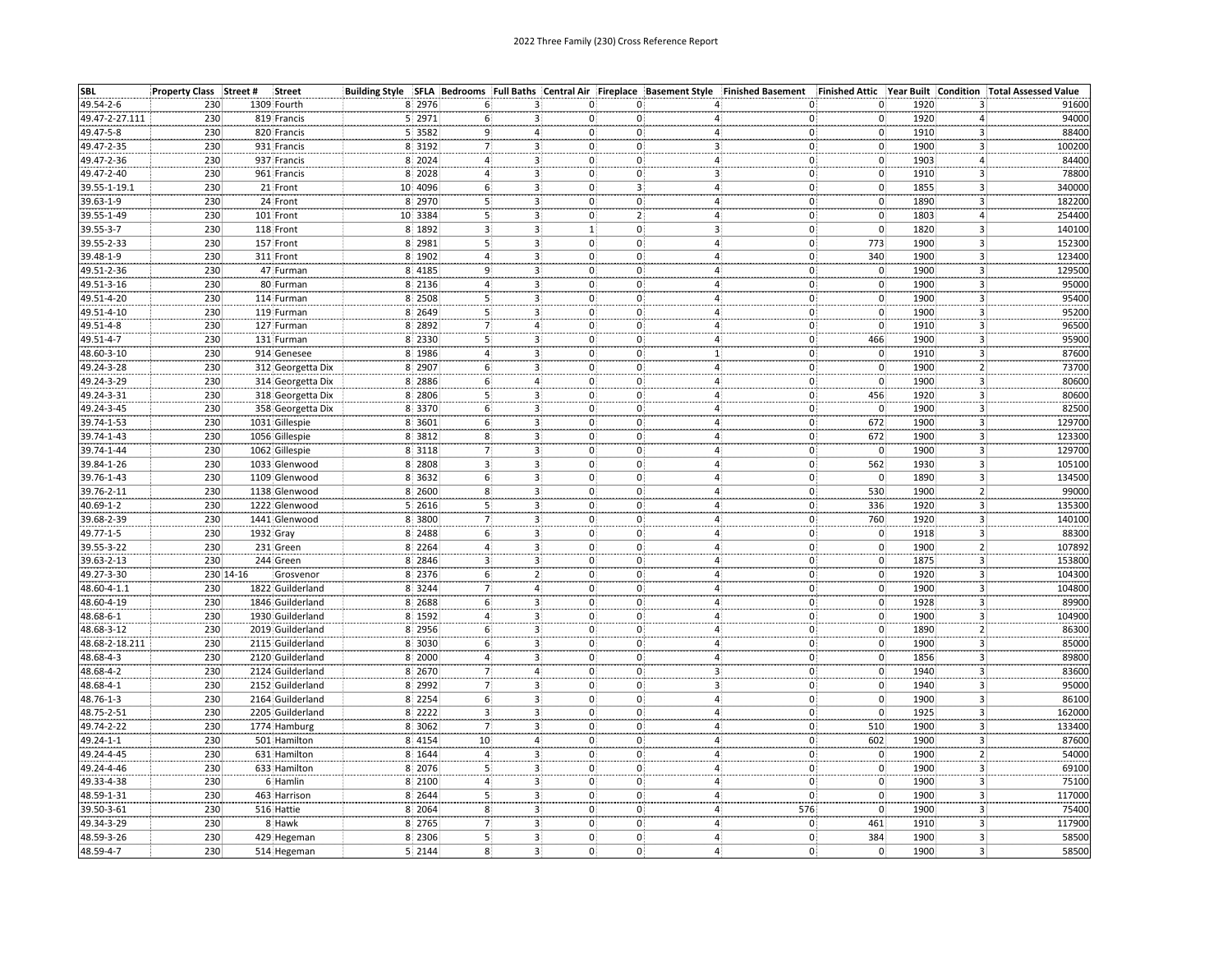| <b>SBL</b>     | Property Class Street # |           | <b>Street</b>     |          |                         |                         | Building Style SFLA Bedrooms Full Baths Central Air Fireplace Basement Style Finished Basement |                         | Finished Attic Year Built                                 |                                      | <b>Condition Total Assessed Value</b> |
|----------------|-------------------------|-----------|-------------------|----------|-------------------------|-------------------------|------------------------------------------------------------------------------------------------|-------------------------|-----------------------------------------------------------|--------------------------------------|---------------------------------------|
| 49.54-2-6      | 230                     |           | 1309 Fourth       | 8 2976   |                         | з.                      | 0:<br>0:                                                                                       |                         | 0.<br>0                                                   | 1920<br>3                            | 91600                                 |
| 49.47-2-27.111 | 230                     |           | 819 Francis       | 5 2971   |                         |                         | 0.<br>0:                                                                                       | 4                       | $\mathbf 0$<br>0                                          | 1920<br>4                            | 94000                                 |
| 49.47-5-8      | 230                     |           | 820 Francis       | 5 3582   |                         | $\overline{4}$          | 0:<br>0:                                                                                       | 4                       | $\overline{0}$<br>$\mathbf{0}$                            | 1910<br>3                            | 88400                                 |
| 49.47-2-35     | 230                     |           | 931 Francis       | 8 3192   | 7                       | 3.                      | 0:<br>0:                                                                                       | 3 <sup>1</sup>          | $\mathbf 0$<br>$\mathbf{0}$                               | 1900<br>$\overline{\mathbf{3}}$      | 100200                                |
| 49.47-2-36     | 230                     |           | 937 Francis       | 8 2024   | 4                       | 3.                      | $\mathsf{o}$<br>0:                                                                             | 4.                      | $\overline{0}$<br>0.                                      | 1903<br>4.                           | 84400                                 |
| 49.47-2-40     | 230                     |           | 961 Francis       | 8 2028   |                         | 3                       | 0:<br>0:                                                                                       | 3i                      | $\mathbf{0}$<br>$\mathbf{0}$                              | $\overline{\mathbf{3}}$<br>1910      | 78800                                 |
| 39.55-1-19.1   | 230                     |           | 21 Front          | 10 4096  | 6 <sup>3</sup>          | 3 <sub>1</sub>          | 3:<br>0:                                                                                       | 4 <sub>1</sub>          | $\mathbf{0}$                                              | 1855                                 | 340000                                |
| 39.63-1-9      | 230                     |           | 24 Front          | 8 2970   | $\overline{\mathbf{5}}$ | $\overline{\mathbf{3}}$ | $\mathsf{o}$<br>$\overline{0}$ :                                                               | 4:                      | $\begin{matrix} 0 \\ 0 \end{matrix}$<br>$\mathbf 0$       | $\frac{3}{3}$<br>1890                | 182200                                |
| 39.55-1-49     | 230                     |           | 101 Front         | 10 3384  | $\overline{5}$          | 3.                      | 2:<br>0:                                                                                       | 4:                      | $\mathbf{0}$ :<br>$\mathbf{0}$                            | 1803<br>$\overline{4}$               | 254400                                |
| 39.55-3-7      | 230                     |           | 118 Front         | 8 1892   | 3                       | 3 <sup>1</sup>          | 1:<br>0:                                                                                       | 3:                      | $\mathbf 0$<br>O,                                         | 1820<br>3                            | 140100                                |
| 39.55-2-33     | 230                     |           | 157 Front         | 8 2981   | 5                       | 3 <sup>2</sup>          | 0:<br>0:                                                                                       | 4:                      | $ 0\rangle$<br>773                                        | $\overline{\mathbf{3}}$<br>1900      | 152300                                |
| 39.48-1-9      | 230                     |           | 311 Front         | 8 1902   |                         | $\overline{\mathbf{3}}$ | 0:<br>0:                                                                                       | 4:                      | 340<br>$0\sqrt{ }$                                        | 3<br>1900                            | 123400                                |
| 49.51-2-36     | 230                     |           | 47 Furman         | 8 4 18 5 | 9                       |                         | 0:<br>0:                                                                                       | 4                       | $\mathbf 0$<br>$\mathbf{0}$                               | 1900                                 | 129500                                |
| 49.51-3-16     | 230                     |           | 80 Furman         | 8 2136   | 4                       | 3.<br>3.                | $\mathsf{o}$<br>0:                                                                             |                         | $\overline{\mathbf{0}}$<br>$\mathbf 0$                    | 3<br>1900<br>$\overline{\mathbf{3}}$ | 95000                                 |
|                |                         |           |                   |          | 5                       | $\frac{1}{3}$           |                                                                                                | 4                       | $\overline{0}$                                            | $\overline{\mathbf{3}}$<br>1900      |                                       |
| 49.51-4-20     | 230                     |           | 114 Furman        | 8 2508   |                         |                         | $\mathbf{0}$<br>$0^{\circ}$                                                                    | 4:                      | $0^{\circ}$                                               |                                      | 95400                                 |
| 49.51-4-10     | 230                     |           | 119 Furman        | 8 2649   | 5<br>$\overline{7}$     | 3<br>$\bf 4$            | 0:<br>0:<br>$\mathbf{0}$                                                                       | 4:<br>$\mathbf{4}$      | $\mathbf 0$<br>0                                          | 3<br>1900<br>$\overline{\mathbf{3}}$ | 95200                                 |
| 49.51-4-8      | 230                     |           | 127 Furman        | 8 2892   |                         |                         | 0:                                                                                             |                         | $\mathbf{0}$<br>$\overline{0}$                            | 1910                                 | 96500                                 |
| 49.51-4-7      | 230                     |           | 131 Furman        | 8 2330   | 5                       | 3 <sup>1</sup>          | 0:<br>0:                                                                                       | 4 <sup>1</sup>          | $\mathbf{0}$<br>466                                       | $\overline{3}$<br>1900               | 95900                                 |
| 48.60-3-10     | 230                     |           | 914 Genesee       | 8 1986   | 4                       | 3 <sub>1</sub>          | 0;<br>0:                                                                                       | 1 <sub>1</sub>          | $\mathbf{0}$<br>$\mathbf{0}$                              | 1910<br>3                            | 87600                                 |
| 49.24-3-28     | 230                     |           | 312 Georgetta Dix | 8 2907   | 6                       | з:                      | 0:<br>0.                                                                                       | 4                       | 0<br>0                                                    | 1900<br>2                            | 73700                                 |
| 49.24-3-29     | 230                     |           | 314 Georgetta Dix | 8 2886   | 6                       | 4.                      | 0:<br>$\mathbf{0}$                                                                             | $\overline{4}$          | $\overline{\mathbf{0}}$<br>$\mathbf{0}$                   | 1900<br>3                            | 80600                                 |
| 49.24-3-31     | 230                     |           | 318 Georgetta Dix | 8 2806   | 5                       | 3.                      | 0:<br>0:                                                                                       | 4                       | $0^{\circ}$<br>456                                        | 1920<br>3                            | 80600                                 |
| 49.24-3-45     | 230                     |           | 358 Georgetta Dix | 8 3370   | 6                       | 3.                      | 0:<br>0.                                                                                       | 4                       | 0<br>$\mathbf{0}$                                         | 1900<br>3                            | 82500                                 |
| 39.74-1-53     | 230                     |           | 1031 Gillespie    | 8 3601   | 6                       | 3                       | $\mathbf{0}$<br>0:                                                                             | 4:                      | 672<br>$\mathbf{0}$                                       | 3<br>1900                            | 129700                                |
| 39.74-1-43     | 230                     |           | 1056 Gillespie    | 8 3812   | 8                       | 3 <sub>1</sub>          | 0:<br>0:                                                                                       | 4:                      | 672<br>$\mathbf{0}$                                       | 1900<br>3.                           | 123300                                |
| 39.74-1-44     | 230                     |           | 1062 Gillespie    | 8 3118   | $\overline{7}$          | $\frac{3}{3}$           | 0:<br>0:                                                                                       | 4:                      | $\mathbf{0}$<br>$\mathbf{0}$                              | 3<br>1900                            | 129700                                |
| 39.84-1-26     | 230                     |           | 1033 Glenwood     | 8 2808   | 3                       |                         | 0:<br>0:                                                                                       | 4 <sup>1</sup>          | 562<br>0                                                  | $\overline{\mathbf{3}}$<br>1930      | 105100                                |
| 39.76-1-43     | 230                     |           | 1109 Glenwood     | 8 3632   | 6                       | 3.                      | 0:<br>0:                                                                                       | 4                       | $\mathbf 0$<br>$\mathbf{0}$                               | 1890<br>3                            | 134500                                |
| 39.76-2-11     | 230                     |           | 1138 Glenwood     | 8 2600   | 8                       | $\mathbf{3}$            | 0:<br>0.                                                                                       | 4                       | 530<br>$\mathbf{0}$                                       | 1900<br>2                            | 99000                                 |
| 40.69-1-2      | 230                     |           | 1222 Glenwood     | 5 2616   | 5                       | 3.                      | 0:<br>0.                                                                                       | 4.                      | $\mathbf{0}$<br>336                                       | 1920<br>3.                           | 135300                                |
| 39.68-2-39     | 230                     |           | 1441 Glenwood     | 8 3800   |                         | 3:                      | 0:<br>0:                                                                                       | 4                       | 760<br>$\mathbf{0}$                                       | 1920<br>3                            | 140100                                |
| 49.77-1-5      | 230                     |           | 1932 Gray         | 8 2488   | 6(                      | З,                      | 0:<br>0.                                                                                       | 4                       | $\mathbf{0}$                                              | 1918<br>3                            | 88300                                 |
| 39.55-3-22     | 230                     |           | 231 Green         | 8 2264   | 4                       | $\overline{\mathbf{3}}$ | $\mathbf{0}$<br>0                                                                              | $\overline{4}$          | $\begin{bmatrix} 0 \ 0 \ 0 \end{bmatrix}$<br>$\mathbf{0}$ | 1900<br>2                            | 107892                                |
| 39.63-2-13     | 230                     |           | 244 Green         | 8 2846   | 3                       | 3.                      | 0:<br>0:                                                                                       | 4:                      | $\mathbf{0}$                                              | 1875<br>3 <sup>1</sup>               | 153800                                |
| 49.27-3-30     |                         | 230 14-16 | Grosvenor         | 8 2376   | 6(                      | $\mathbf{2}$            | 0:<br>0:                                                                                       | 4:                      | $\mathbf 0$<br>$\mathbf{0}$                               | 1920<br>3                            | 104300                                |
| 48.60-4-1.1    | 230                     |           | 1822 Guilderland  | 8 3244   | $\overline{7}$          | 4 <sup>1</sup>          | 0:<br>0:                                                                                       | 4 <sup>1</sup>          | $\overline{\mathbf{0}}$<br>O)                             | 1900<br>3                            | 104800                                |
| 48.60-4-19     | 230                     |           | 1846 Guilderland  | 8 2688   | 6                       | 3.                      | 0:<br>0:                                                                                       | 4                       | $\mathbf{0}$<br>$\mathbf{0}$                              | 3<br>1928                            | 89900                                 |
| 48.68-6-1      | 230                     |           | 1930 Guilderland  | 8 1592   |                         | З.                      | 0:<br>0.                                                                                       | $\overline{4}$          | $\mathbf{0}$                                              | 1900<br>3                            | 104900                                |
| 48.68-3-12     | 230                     |           | 2019 Guilderland  | 8 2956   |                         | 3:                      | 0:<br>0:                                                                                       | 4:                      | $0\atop 0$<br>$\mathbf{0}$                                | 1890                                 | 86300                                 |
| 48.68-2-18.211 | 230                     |           | 2115 Guilderland  | 8 3030   |                         | 3:                      | 0:<br>$\mathbf{0}$                                                                             | 4                       | $\overline{0}$<br>U                                       | 1900<br>3                            | 85000                                 |
| 48.68-4-3      | 230                     |           | 2120 Guilderland  | 8 2000   | 4                       | з.                      | 0:<br>$\mathbf{0}$                                                                             | 4                       | 0<br>0                                                    | 1856<br>3.                           | 89800                                 |
| 48.68-4-2      | 230                     |           | 2124 Guilderland  | 8 2670   | $\overline{7}$          | $\boldsymbol{4}$        | 0:<br>0:                                                                                       | $\overline{\mathbf{3}}$ | $\mathbf{0}$<br>$\mathbf{0}$                              | 3<br>1940                            | 83600                                 |
| 48.68-4-1      | 230                     |           | 2152 Guilderland  | 8 2992   | $\overline{7}$          | 3 <sup>1</sup>          | 0:<br>0:                                                                                       | зį                      | $\overline{\mathbf{0}}$<br>$\mathbf{0}$                   | 3<br>1940                            | 95000                                 |
| 48.76-1-3      | 230                     |           | 2164 Guilderland  | 8 2254   | 6)                      |                         | 0:<br>0.                                                                                       | 4:                      | $\mathbf 0$<br>$\mathbf{0}$                               | 3 <sup>1</sup><br>1900               | 86100                                 |
|                |                         |           |                   | 8 2222   |                         | $\mathbf{3}$            | 0:                                                                                             |                         |                                                           |                                      |                                       |
| 48.75-2-51     | 230                     |           | 2205 Guilderland  |          | 3                       | 3 <sup>1</sup>          | 0:                                                                                             | 4 <sup>1</sup>          | $\mathbf 0$<br>$ 0\rangle$                                | 1925<br>3                            | 162000                                |
| 49.74-2-22     | 230                     |           | 1774 Hamburg      | 8 3062   |                         | з.<br>-4                | 0:<br>0:                                                                                       | 4                       | 510<br>$\mathbf{0}$                                       | 1900<br>3                            | 133400                                |
| 49.24-1-1      | 230                     |           | 501 Hamilton      | 8 4154   | 10                      | 4.                      | 0:<br>$\mathbf{0}$                                                                             | 4,                      | $\mathbf{0}$<br>602                                       | 1900<br>3                            | 87600                                 |
| 49.24-4-45     | 230                     |           | 631 Hamilton      | 8 1644   |                         | з.                      | 0:<br>0:                                                                                       | 4:                      | 0 <sub>1</sub><br>$\mathbf{0}$                            | $\overline{2}$<br>1900               | 54000                                 |
| 49.24-4-46     | 230                     |           | 633 Hamilton      | 8 2076   |                         | з.                      | 0:<br>0:                                                                                       | 4:                      | $\mathbf 0$ .<br>$\mathbf{0}$                             | 1900<br>3                            | 69100                                 |
| 49.33-4-38     | 230                     |           | 6 Hamlin          | 8 2100   | 4                       | 3 <sub>1</sub>          | 0:<br>$0^{\circ}$                                                                              | 4                       | $\overline{\mathbf{0}}$<br>0                              | 1900<br>3                            | 75100                                 |
| 48.59-1-31     | 230                     |           | 463 Harrison      | 8 2644   | 5                       | 3,                      | 0:<br>0:                                                                                       | 4:                      | $\mathbf 0$<br>O.                                         | 1900<br>3                            | 117000                                |
| 39.50-3-61     | 230                     |           | 516 Hattie        | 8 2064   | 8                       | 3                       | 0:<br>0.                                                                                       | 576<br>4                | $\mathbf{0}$ :                                            | 1900<br>3                            | 75400                                 |
| 49.34-3-29     | 230                     |           | 8 Hawk            | 8 2765   | $\overline{7}$          | $\overline{3}$          | 0:<br>0:                                                                                       | 4                       | 0<br>461                                                  | 1910<br>3                            | 117900                                |
| 48.59-3-26     | 230                     |           | 429 Hegeman       | 8 2306   | $\overline{5}$          | $\overline{\mathbf{3}}$ | 0:<br>$0$ :                                                                                    | 4 <sup>1</sup>          | 384<br>$\mathbf{0}$                                       | 1900<br>3                            | 58500<br>58500                        |
| 48.59-4-7      | 230                     |           | 514 Hegeman       | 5 2144   | 8 <sup>1</sup>          | з.                      | 0:<br>0.                                                                                       | 4.                      | $\mathbf{0}$<br>0(                                        | 1900<br>3.                           |                                       |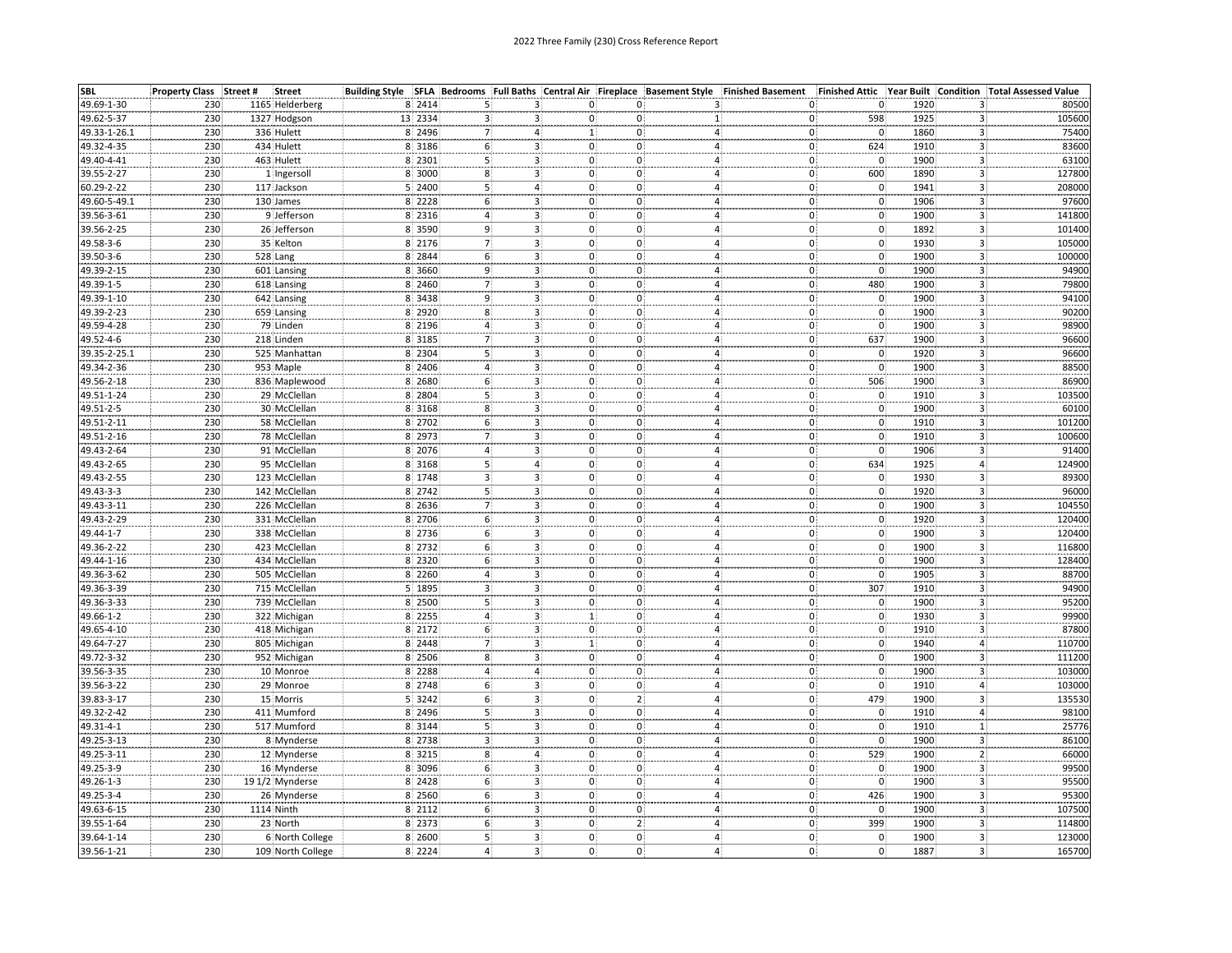| <b>SBL</b>   | Property Class Street #<br><b>Street</b> |         | Building Style SFLA Bedrooms Full Baths : Central Air Fireplace Basement Style Finished Basement |                |                       |   |                                  |                                            | Finished Attic Year Built Condition Total Assessed Value |        |
|--------------|------------------------------------------|---------|--------------------------------------------------------------------------------------------------|----------------|-----------------------|---|----------------------------------|--------------------------------------------|----------------------------------------------------------|--------|
| 49.69-1-30   | 230<br>1165 Helderberg                   | 8 2414  | з.                                                                                               | 0.             | 0:                    |   | 0                                | 0.                                         | 1920<br>3.                                               | 80500  |
| 49.62-5-37   | 230<br>1327 Hodgson                      | 13 2334 |                                                                                                  | 0              |                       |   | 0                                | 598                                        | 1925<br>3                                                | 105600 |
| 49.33-1-26.1 | 230<br>336 Hulett                        | 8 2496  |                                                                                                  | 1!             | $\mathbf{0}$          |   | $\overline{4}$<br>0)             | $\mathbf{0}$                               | 1860<br>3                                                | 75400  |
| 49.32-4-35   | 230<br>434 Hulett                        | 8 3186  | 6<br>3                                                                                           | 0.             | 0                     |   | $\mathbf{0}$<br>4                | 624                                        | 1910<br>3                                                | 83600  |
| 49.40-4-41   | 230<br>463 Hulett                        | 8 2301  | 3.                                                                                               | $\mathbf{0}$   | 0.                    | 4 | $\overline{\mathbf{0}}$          | $\mathsf{o}$                               | 1900<br>3.                                               | 63100  |
| 39.55-2-27   | 1 Ingersoll<br>230                       | 8 3000  | 3 <sup>1</sup><br>8                                                                              | $\mathbf{0}$   | $0^{\mathrm{i}}$      |   | 4 <sup>1</sup><br>O)             | 600                                        | 1890<br>3                                                | 127800 |
| 60.29-2-22   | 230<br>117 Jackson                       | 5 2400  | $5\}$<br>4                                                                                       | 0:             | 0.                    |   | 4 <sub>1</sub><br>0              | $\mathbf 0$                                | 1941<br>3.                                               | 208000 |
| 49.60-5-49.1 | 230<br>130 James                         | 8 2228  | 6<br>3.                                                                                          | $\mathbf{0}$   | 0:                    |   | 0<br>4:                          | $\mathbf{0}$                               | 1906<br>3.                                               | 97600  |
| 39.56-3-61   | 9 Jefferson<br>230                       | 8 2316  | 3 <sup>1</sup><br>$\overline{a}$                                                                 | $\mathbf{0}$   | $0^{\frac{1}{2}}$     |   | 4 <sup>1</sup><br>0              | $\mathbf 0$                                | $\overline{\mathbf{3}}$<br>1900                          | 141800 |
| 39.56-2-25   | 230<br>26 Jefferson                      | 8 3590  | 9<br>3 <sub>1</sub>                                                                              | $\mathbf{0}$   | $\mathbf{0}$          |   | 4 <sup>1</sup><br>0              | $\overline{0}$                             | 3 <sup>1</sup><br>1892                                   | 101400 |
| 49.58-3-6    | 230<br>35 Kelton                         | 8 2176  | 3 <sup>1</sup>                                                                                   | 0.             | $\mathbf{0}$          |   | 4:<br>0)                         | $\mathbf 0$                                | 3<br>1930                                                | 105000 |
| 39.50-3-6    | 230<br>528 Lang                          | 8 2844  | 6<br>3.                                                                                          | $\mathbf{0}$   | 0                     |   | $\overline{4}$                   |                                            | 1900<br>3                                                | 100000 |
| 49.39-2-15   | 230<br>601 Lansing                       | 8 3660  | 9                                                                                                | 0.             | 0                     |   | $\mathbf{0}$<br>0)               | $\begin{matrix} 0 \\ 0 \end{matrix}$       | 1900<br>3                                                | 94900  |
|              | 230                                      | 8 2460  | 3.                                                                                               | $0^{\circ}$    |                       |   | 4<br>$\mathbf{0}$                |                                            | 1900<br>3.                                               | 79800  |
| 49.39-1-5    | 618 Lansing                              |         | 3.<br>9<br>3 <sup>1</sup>                                                                        | $\mathbf{0}$   | 0<br>$0^{\mathrm{i}}$ |   | 4                                | 480<br>$\mathbf 0$                         | $\overline{3}$                                           |        |
| 49.39-1-10   | 230<br>642 Lansing                       | 8 3438  |                                                                                                  |                |                       |   | 4 <sub>1</sub><br>0)             |                                            | 1900                                                     | 94100  |
| 49.39-2-23   | 230<br>659 Lansing<br>230                | 8 2920  | 8 <sup>3</sup><br>3 <sup>1</sup>                                                                 | $\mathbf{0}$   | $\mathbf{0}$          |   | 4 <sub>1</sub><br>0              | $\overline{0}$                             | 3 <sup>1</sup><br>1900                                   | 90200  |
| 49.59-4-28   | 79 Linden                                | 8 2196  | 4<br>3.                                                                                          | 0.             | 0                     |   | O)<br>4:                         | 0                                          | 1900<br>3                                                | 98900  |
| 49.52-4-6    | 230<br>218 Linden                        | 8 3185  | 3 <sup>1</sup>                                                                                   | $\mathbf{0}$   | 0:                    |   | $4^{\frac{1}{2}}$<br>0           | 637                                        | $\overline{3}$<br>1900                                   | 96600  |
| 39.35-2-25.1 | 230<br>525 Manhattan                     | 8 2304  | 5<br>3 <sup>1</sup>                                                                              | $\mathbf{0}$   | $\mathbf{0}$          |   | 4 <sub>1</sub><br>$\mathbf{0}$   | $\mathbf{0}$                               | 3.<br>1920                                               | 96600  |
| 49.34-2-36   | 230<br>953 Maple                         | 8 2406  | 3.                                                                                               | $\mathbf{0}$   | 0.                    |   | 0)<br>4.                         | $\mathbf 0$                                | 1900<br>3                                                | 88500  |
| 49.56-2-18   | 230<br>836 Maplewood                     | 8 2680  | 3.                                                                                               | $\mathbf{0}$   | 0:                    |   | 0<br>4                           | 506                                        | 1900<br>3                                                | 86900  |
| 49.51-1-24   | 230<br>29 McClellan                      | 8 2804  | 31                                                                                               | 0.             | $\Omega$              | 4 | $\tilde{0}$                      | $\mathbf 0$                                | 1910<br>3                                                | 103500 |
| 49.51-2-5    | 30 McClellan<br>230                      | 8 3168  | 8<br>3.                                                                                          | 0:             | 0                     | 4 | 0                                | 0                                          | 1900<br>3                                                | 60100  |
| 49.51-2-11   | 230<br>58 McClellan                      | 8 2702  | 3.                                                                                               | $\mathbf{0}$   | $\mathbf{0}$          |   | 4<br>0)                          | $\overline{0}$                             | 3<br>1910                                                | 101200 |
| 49.51-2-16   | 230<br>78 McClellan                      | 8 2973  | 3 <sup>1</sup><br>$\overline{7}$                                                                 | $\mathbf 0$ .  | $\mathbf{0}$          |   | 4 <sup>1</sup><br>0ł             | $\mathbf{0}$                               | 1910<br>3 <sup>1</sup>                                   | 100600 |
| 49.43-2-64   | 230<br>91 McClellan                      | 8 2076  | 3 <sub>1</sub>                                                                                   | $\mathbf{0}$   | 0                     |   | 0<br>4                           | $\mathbf 0$                                | 1906<br>3                                                | 91400  |
| 49.43-2-65   | 230<br>95 McClellan                      | 8 3168  | $\overline{4}$                                                                                   | $\mathbf{0}$   | $\mathbf{0}$          |   | 4 <sup>1</sup><br>$\overline{0}$ | 634                                        | 1925<br>4                                                | 124900 |
| 49.43-2-55   | 230<br>123 McClellan                     | 8 1748  | 3.                                                                                               | 0.             | $\mathbf{0}$          |   | $\mathbf{0}$<br>4                | $\overline{0}$                             | 1930<br>3                                                | 89300  |
| 49.43-3-3    | 230<br>142 McClellan                     | 8 2742  | $\overline{\mathbf{3}}$                                                                          | 0.             | 0.                    | 4 | $\mathbf{0}$                     |                                            | 1920<br>3                                                | 96000  |
| 49.43-3-11   | 230<br>226 McClellan                     | 8 2636  | 3.                                                                                               | 0:             | 0.                    |   | 0<br>4                           | $\begin{matrix} 0 \\ 0 \end{matrix}$       | 1900<br>3.                                               | 104550 |
| 49.43-2-29   | 230<br>331 McClellan                     | 8 2706  | 3                                                                                                | $0^{\circ}$    | $\mathbf{0}$          |   | 0<br>4                           | $\mathbf{0}$                               | 1920<br>3                                                | 120400 |
| 49.44-1-7    | 338 McClellan<br>230                     | 8 2736  | 6<br>3.                                                                                          | $\mathbf{0}$   | 0.                    | 4 | 0                                |                                            | 1900<br>3                                                | 120400 |
| 49.36-2-22   | 230<br>423 McClellan                     | 8 2732  | 6                                                                                                | $\mathbf{0}$   | 0                     | 4 | 0                                | $\begin{array}{c} 0 \\ 0 \\ 0 \end{array}$ | 3<br>1900                                                | 116800 |
| 49.44-1-16   | 230<br>434 McClellan                     | 8 2320  | 6<br>3.                                                                                          | $\mathbf{0}$   | $\mathbf{0}$          |   | 4 <sup>1</sup><br>0              |                                            | 1900<br>3 <sup>1</sup>                                   | 128400 |
| 49.36-3-62   | 230<br>505 McClellan                     | 8 2260  | 3 <sup>1</sup><br>$\overline{4}$                                                                 | $\mathbf{0}$   | $\mathbf{0}$          |   | 4:<br>0)                         | $\mathbf{0}$                               | 1905<br>3                                                | 88700  |
| 49.36-3-39   | 230<br>715 McClellan                     | 5 1895  | 3 <sup>1</sup>                                                                                   | $\overline{0}$ | $\mathbf{0}$          |   | $\overline{4}$<br>$\mathbf{0}$   | 307                                        | $\overline{\mathbf{3}}$<br>1910                          | 94900  |
| 49.36-3-33   | 230<br>739 McClellan                     | 8 2500  | 3 <sup>1</sup><br>5                                                                              | $\mathbf{0}$   | $\mathbf{0}$          |   | 0)<br>4                          | $\mathbf 0$                                | 1900<br>$\mathsf{3}$                                     | 95200  |
| 49.66-1-2    | 230<br>322 Michigan                      | 8 2255  | 3.                                                                                               | 1 <sub>i</sub> | 0                     | 4 | $\mathsf{o}$                     |                                            | 1930<br>3                                                | 99900  |
| 49.65-4-10   | 230<br>418 Michigan                      | 8 2172  | 3                                                                                                | $\mathbf{0}$   | 0.                    |   | 0<br>4.                          | $\begin{matrix} 0 \\ 0 \end{matrix}$       | 1910<br>3                                                | 87800  |
| 49.64-7-27   | 230<br>805 Michigan                      | 8 2448  |                                                                                                  | 1              | $\Omega$              | 4 | $\Omega$                         | $\mathbf{0}$                               | 1940<br>4                                                | 110700 |
| 49.72-3-32   | 952 Michigan<br>230                      | 8 2506  | 8<br>3.                                                                                          | $\mathbf{0}$   | 0                     |   | 0<br>4                           | 0                                          | 1900<br>3.                                               | 111200 |
| 39.56-3-35   | 230<br>10 Monroe                         | 8 2288  | $\overline{4}$<br>$4^{\circ}$                                                                    | 0:             | $\mathbf{0}$          |   | 4 <sup>1</sup><br>0Į             | $\overline{0}$                             | 3<br>1900                                                | 103000 |
| 39.56-3-22   | 230<br>29 Monroe                         | 8 2748  | 6<br>3.                                                                                          | $\mathbf 0$    | 0.                    |   | $\overline{4}$<br>0              | $\mathbf{0}$                               | 1910<br>4.                                               | 103000 |
| 39.83-3-17   | 230<br>15 Morris                         | 5 3242  | 3 <sup>1</sup><br>6                                                                              | $\mathbf{0}$   | 2 <sup>1</sup>        |   | 4<br>0                           | 479                                        | з!<br>1900                                               | 135530 |
|              | 230                                      |         |                                                                                                  |                |                       |   |                                  |                                            |                                                          |        |
| 49.32-2-42   | 411 Mumford                              | 8 2496  | 3 <sup>1</sup><br>5                                                                              | 0.             | $0^{\circ}$           |   | 4:<br>0(                         | $\mathbf{0}$<br>$\overline{\mathbf{0}}$    | 1910<br>4:                                               | 98100  |
| 49.31-4-1    | 230<br>517 Mumford<br>230                | 8 3144  | 3 <sub>1</sub><br>5                                                                              | $\mathbf{0}$   | $\mathbf 0$ :         |   | 0)<br>4                          |                                            | 1<br>1910                                                | 25776  |
| 49.25-3-13   | 8 Mynderse                               | 8 2738  | 3<br>$\overline{\mathbf{3}}$                                                                     | $\mathbf 0$    | $\mathbf{0}$          | 4 | $\mathbf{0}$                     | $\overline{0}$                             | 1900<br>3.                                               | 86100  |
| 49.25-3-11   | 230<br>12 Mynderse                       | 8 3215  | 4 <sup>1</sup><br>8                                                                              | 0:             | 0                     |   | 0<br>4                           | 529                                        | 1900<br>$\overline{2}$                                   | 66000  |
| 49.25-3-9    | 230<br>16 Mynderse                       | 8 3096  | 6<br>3                                                                                           | 0 <sup>1</sup> | $\mathbf{0}$          |   | 0)<br>4                          | $\mathbf 0$                                | 1900<br>3                                                | 99500  |
| 49.26-1-3    | 230<br>19 1/2 Mynderse                   | 8 2428  | 6<br>3.                                                                                          | $\mathbf 0$    | 0                     |   | 0(<br>4                          | $\overline{\mathbf{0}}$                    | 1900<br>3                                                | 95500  |
| 49.25-3-4    | 230<br>26 Mynderse                       | 8 2560  | 3 <sub>1</sub><br>6                                                                              | $\mathbf{0}$   | $\mathbf{0}$          |   | 4 <sub>1</sub><br>$\mathbf{0}$   | 426.                                       | 1900<br>3                                                | 95300  |
| 49.63-6-15   | 230<br>1114 Ninth                        | 8 2112  | 6<br>3.                                                                                          | $\mathbf{0}$   | 0:                    |   | 0)<br>4                          | $\mathbf{0}$                               | 1900<br>3                                                | 107500 |
| 39.55-1-64   | 230<br>23 North                          | 8 2373  | 6<br>3.                                                                                          | $\mathbf{0}$   | 2 <sub>i</sub>        |   | ōĺ<br>4                          | 399                                        | 1900<br>3                                                | 114800 |
| 39.64-1-14   | 230<br>6 North College                   | 8 2600  | $5\}$<br>3 <sub>1</sub>                                                                          | 0.             | 0                     |   | 4 <sup>1</sup><br>0{             | $\mathbf 0$                                | 1900<br>3,                                               | 123000 |
| 39.56-1-21   | 230<br>109 North College                 | 8 2224  | 4)<br>3 <sup>1</sup>                                                                             | $\mathbf 0$    | $\mathbf 0$ .         |   | 4:<br>0                          | $\mathfrak o$                              | 1887<br>3.                                               | 165700 |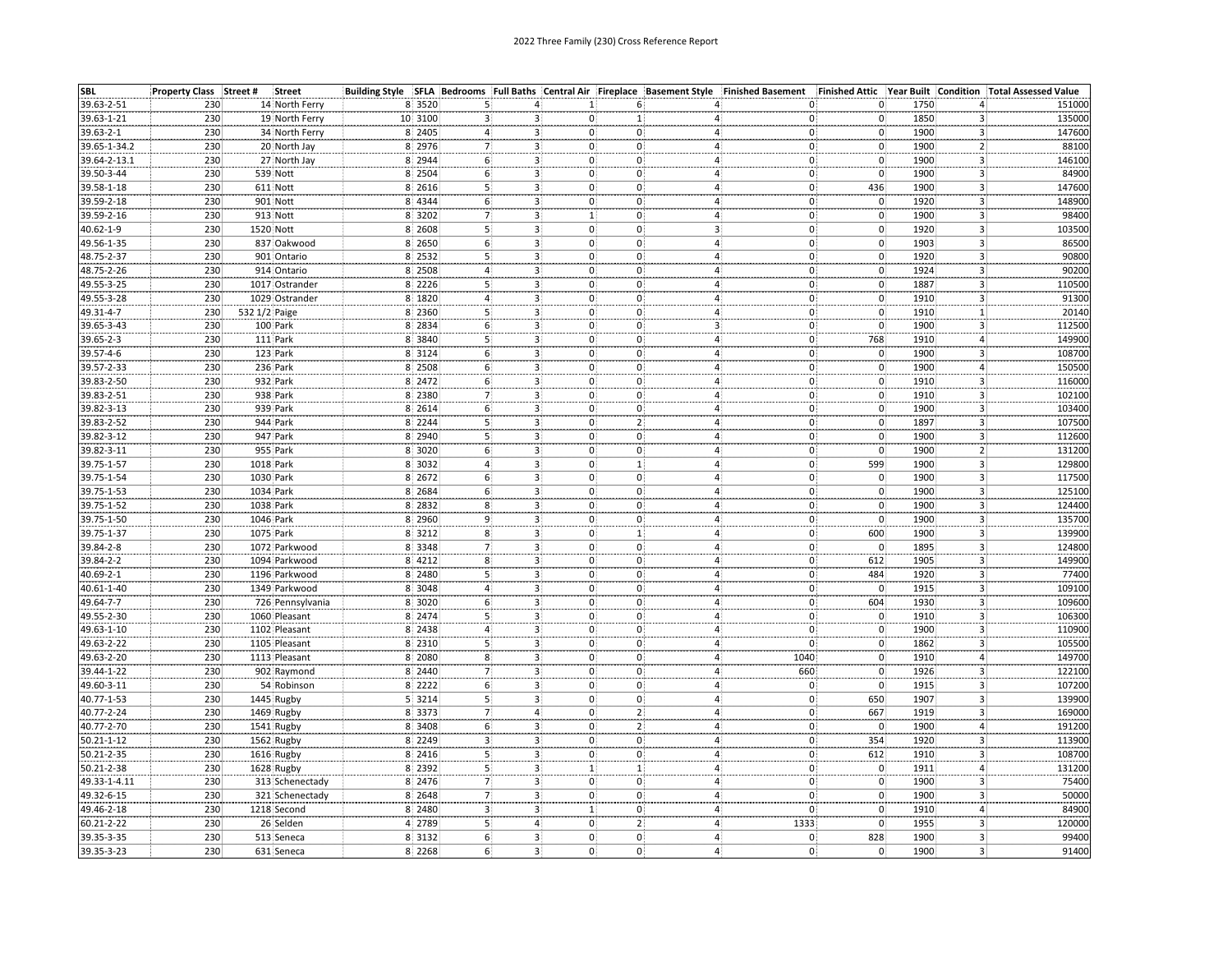| <b>SBL</b>       | Property Class Street # | <b>Street</b>            |           |                |                                           |                                 |                                 | Building Style SFLA Bedrooms Full Baths Central Air Fireplace Basement Style Finished Basement | Finished Attic Year Built              |                                      | <b>Condition Total Assessed Value</b> |
|------------------|-------------------------|--------------------------|-----------|----------------|-------------------------------------------|---------------------------------|---------------------------------|------------------------------------------------------------------------------------------------|----------------------------------------|--------------------------------------|---------------------------------------|
| 39.63-2-51       | 230                     | 14 North Ferry           | 8 3520    |                |                                           | 1:                              | 6.                              | 0.                                                                                             | $\mathbf 0$                            | 1750<br>4.                           | 151000                                |
| 39.63-1-21       | 230                     | 19 North Ferry           | 10 3100   |                |                                           | 0                               |                                 | 0.<br>4                                                                                        | $\mathbf 0$                            | 1850<br>3                            | 135000                                |
| 39.63-2-1        | 230                     | 34 North Ferry           | 8 2405    |                |                                           | $3 -$<br>0.                     | 0,                              | 0<br>4                                                                                         | $\mathbf{0}$                           | 1900<br>$\mathbf{3}$                 | 147600                                |
| 39.65-1-34.2     | 230                     | 20 North Jay             | 8 2976    |                | 3.                                        | 0                               | $\mathbf{0}$                    | 0)<br>4                                                                                        | $\mathbf 0$                            | 1900<br>$\overline{2}$               | 88100                                 |
| 39.64-2-13.1     | 230                     | 27 North Jay             | 8 2944    | 6              | 3.                                        | $\mathbf{0}$                    | 0.                              | $\mathbf{0}$<br>4.                                                                             | $\mathfrak{o}$                         | 1900<br>3.                           | 146100                                |
| 39.50-3-44       | 230                     | 539 Nott                 | 8 2504    | 6              | 3 <sup>1</sup>                            | $\mathbf{0}$                    | $0^{\circ}$                     | 4 <sup>1</sup><br>$\mathbf{0}$                                                                 | $\mathbf{0}$                           | $\overline{\mathbf{3}}$<br>1900      | 84900                                 |
| 39.58-1-18       | 230                     | 611 Nott                 | 8 2616    | 5              | 3 <sub>1</sub>                            | $\mathbf 0$                     | 0                               | 4:                                                                                             | 436                                    | 1900                                 | 147600                                |
| 39.59-2-18       | 230                     | 901 Nott                 | 8 4344    | 6(             | $\overline{\mathbf{3}}$                   | $\mathbf 0$                     | $\mathbf{0}^{\mathsf{T}}$       | $\begin{matrix} 0 \ 0 \end{matrix}$<br>4:                                                      | $\mathbf{0}$                           | $\frac{3}{3}$<br>1920                | 148900                                |
| 39.59-2-16       | 230                     | 913 Nott                 | 8 3202    | $\overline{7}$ | 3 <sup>1</sup>                            | 1                               | 0:                              | 4:<br>$\mathbf{0}$                                                                             | $\mathbf{0}$ :                         | $\overline{3}$<br>1900               | 98400                                 |
| 40.62-1-9        | 230                     | 1520 Nott                | 8 2608    | 5 <sup>1</sup> |                                           | 3 <sub>1</sub><br>$\mathbf 0$ . | $\mathbf 0$                     | 3 <sup>1</sup><br>$\mathbf{0}$                                                                 | $\mathbf 0$ .                          | 3<br>1920                            | 103500                                |
| 49.56-1-35       | 230                     | 837 Oakwood              | 8 2650    | 6(             |                                           | 3 <sup>2</sup><br>$\mathbf{0}$  | $\mathbf{0}$                    | 4:<br>0)                                                                                       | $\mathbf{0}$                           | $\overline{\mathbf{3}}$<br>1903      | 86500                                 |
| 48.75-2-37       | 230                     | 901 Ontario              | 8 2532    |                | 3 <sup>1</sup>                            | $\mathbf{0}$                    | $\mathbf{0}$                    | $\overrightarrow{0}$<br>$\overline{4}$                                                         | $\overline{0}$                         | 3<br>1920                            | 90800                                 |
| 48.75-2-26       | 230                     | 914 Ontario              | 8 2508    |                |                                           | 0                               | 0                               | 0<br>4                                                                                         | $\mathbf 0$                            | 1924                                 | 90200                                 |
| 49.55-3-25       | 230                     | 1017 Ostrander           | 8 2226    |                | 3.                                        | $\mathbf{0}^{\mathsf{T}}$<br>3. | 0.                              | $\overline{0}$<br>4.                                                                           | $\mathsf{o}$                           | 3<br>1887<br>$\overline{\mathbf{3}}$ | 110500                                |
|                  | 230                     | 1029 Ostrander           | 8 1820    |                | $3^{\circ}$                               | $\mathbf{0}$                    | $0^{\circ}$                     | 4:<br>$\mathbf{0}$                                                                             | $\overline{0}$                         | $\overline{\mathbf{3}}$<br>1910      | 91300                                 |
| 49.55-3-28       |                         |                          |           |                |                                           |                                 |                                 |                                                                                                |                                        |                                      |                                       |
| 49.31-4-7        | 230<br>230              | 532 1/2 Paige            | 8 2360    | 5              | 3 <sup>1</sup><br>$\overline{\mathbf{3}}$ | $\mathbf 0$                     | 0.<br>$\mathbf{0}^{\mathsf{T}}$ | 4:<br>0ļ<br>$\overline{3}$<br>$\overline{0}$                                                   | $\mathbf 0$<br>$\mathbf 0$             | $\frac{1}{3}$<br>1910<br>1900        | 20140<br>112500                       |
| 39.65-3-43       |                         | 100 Park                 | 8 2834    | 6,             |                                           | $\mathbf 0$                     |                                 | $\overline{4}$                                                                                 |                                        |                                      |                                       |
| 39.65-2-3        | 230                     | 111 Park                 | 8 3840    | 5              | 3 <sup>1</sup>                            | 0.                              | 0:                              | 0)                                                                                             | 768                                    | 4 <sup>1</sup><br>1910               | 149900                                |
| 39.57-4-6        | 230                     | 123 Park                 | 8 3124    | 6 <sup>3</sup> | 3 <sup>1</sup>                            | $\mathbf 0$                     | $\mathbf 0$                     | 4 <sup>1</sup><br>$\overline{0}$                                                               | $\mathbf{0}$                           | $\overline{\mathbf{3}}$<br>1900      | 108700                                |
| 39.57-2-33       | 230                     | 236 Park                 | 8 2508    | 6              |                                           | 0:<br>3.                        | 0.                              | $\overline{0}$<br>4.                                                                           | $\begin{matrix} 0 \\ 0 \end{matrix}$   | 1900<br>4.                           | 150500                                |
| 39.83-2-50       | 230                     | 932 Park                 | 8 2472    | 6              |                                           | 3.<br>0:                        | 0                               | 0<br>4                                                                                         |                                        | 3<br>1910                            | 116000                                |
| 39.83-2-51       | 230                     | 938 Park                 | 8 2380    |                | 31                                        | 0.                              | 0.                              | $\tilde{0}$<br>4                                                                               | $\mathbf 0$                            | 1910<br>3                            | 102100                                |
| 39.82-3-13       | 230                     | 939 Park                 | 8 2614    | 6              | 3.                                        | 0:                              | 0                               | 0<br>4                                                                                         | 0                                      | 1900<br>3.                           | 103400                                |
| 39.83-2-52       | 230                     | 944 Park                 | 8 2244    |                | 3 <sup>1</sup>                            | $\mathbf{0}$                    | 2 <sub>1</sub>                  | 0)<br>4                                                                                        | $\overline{\mathbf{0}}$                | $\ddot{\textbf{3}}$<br>1897          | 107500                                |
| 39.82-3-12       | 230                     | 947 Park                 | 8 2940    | 5              | 3 <sup>1</sup>                            | $\mathbf 0$ .                   | $\mathbf{0}$                    | $\overline{4}$<br>0ł                                                                           | $\mathbf{0}$                           | $\mathbf{3}$<br>1900                 | 112600                                |
| 39.82-3-11       | 230                     | 955 Park                 | 8 3020    | 6              | 3 <sub>1</sub>                            | $\mathbf{0}$                    | 0                               | 0)<br>4                                                                                        | $\mathbf 0$                            | $\mathbf{2}$<br>1900                 | 131200                                |
| 39.75-1-57       | 230                     | 1018 Park                | 8 3032    |                |                                           | $\mathbf{0}$<br>3.              | 1 <sup>1</sup>                  | 4 <sup>1</sup><br>0                                                                            | 599                                    | $\overline{\mathbf{3}}$<br>1900      | 129800                                |
| 39.75-1-54       | 230                     | 1030 Park                | 8 2672    | 6              | 3.                                        | 0.                              | $\mathbf{0}$                    | $\mathbf{0}$<br>$\overline{4}$ :                                                               | $\mathbf{0}$                           | $\mathsf{3}$<br>1900                 | 117500                                |
| 39.75-1-53       | 230                     | 1034 Park                | 8 2 6 8 4 | 6              |                                           | 0.<br>3.                        | 0.                              | $\vert 0 \rangle$<br>4                                                                         |                                        | 1900<br>3                            | 125100                                |
| 39.75-1-52       | 230                     | 1038 Park                | 8 2832    | 8              |                                           | $\mathbf{0}$<br>3.              | 0.                              | 0<br>4                                                                                         | $\begin{matrix} 0 \\ 0 \end{matrix}$   | 1900<br>3.                           | 124400                                |
| 39.75-1-50       | 230                     | 1046 Park                | 8 2960    | q              | 3                                         | $0^{\circ}$                     | $\mathbf{0}$                    | 0<br>4                                                                                         | $\mathbf{0}$                           | 1900<br>3                            | 135700                                |
| 39.75-1-37       | 230                     | 1075 Park                | 8 3212    | 8              | 3.                                        | $\mathbf{0}$                    | 1:                              | 0<br>4                                                                                         | 600                                    | 1900<br>3                            | 139900                                |
| 39.84-2-8        | 230                     | 1072 Parkwood            | 8 3348    |                |                                           | $\mathbf{0}$                    | 0                               | 0<br>4                                                                                         | $\mathbf 0$                            | $\overline{\mathbf{3}}$<br>1895      | 124800                                |
| 39.84-2-2        | 230                     | 1094 Parkwood            | 8 4212    | 8              | 3.                                        | $\mathbf{0}$                    | $\mathbf{0}$                    | 0<br>4 <sup>1</sup>                                                                            | 612                                    | 1905<br>3 <sup>1</sup>               | 149900                                |
| 40.69-2-1        | 230                     | 1196 Parkwood            | 8 2480    | 5 <sup>1</sup> | 3 <sub>1</sub>                            | $\mathbf 0$                     | 0.                              | 4 <sup>i</sup><br>0                                                                            | 484                                    | 1920<br>3                            | 77400                                 |
| 40.61-1-40       | 230                     | 1349 Parkwood            | 8 3048    |                | 3 <sup>1</sup>                            | $\mathbf{0}$                    | $\mathbf{0}$                    | 4 <sup>1</sup><br>$ 0\rangle$                                                                  | $\mathbf 0$ :                          | 3<br>1915                            | 109100                                |
| 49.64-7-7        | 230                     | 726 Pennsylvania         | 8 3020    | 6              | 3 <sup>1</sup>                            | 0.                              | $\mathbf{0}$                    | $\mathsf{o}$<br>4                                                                              | 604                                    | $\overline{3}$<br>1930               | 109600                                |
| 49.55-2-30       | 230                     | 1060 Pleasant            | 8 2474    |                | 3.                                        | 0.                              | 0                               | $\mathsf{o}\}$<br>4                                                                            |                                        | 1910<br>3                            | 106300                                |
| 49.63-1-10       | 230                     | 1102 Pleasant            | 8 2438    |                |                                           | 3 <sup>1</sup><br>$\mathbf{0}$  | $\mathbf{0}$                    | 0<br>4.                                                                                        | $\begin{bmatrix} 0 \\ 0 \end{bmatrix}$ | 1900<br>3                            | 110900                                |
| 49.63-2-22       | 230                     | 1105 Pleasant            | 8 2310    |                |                                           | 0.                              | $\Omega$                        | $\Omega$<br>4                                                                                  | $\overline{\mathbf{0}}$                | 1862<br>3                            | 105500                                |
| 49.63-2-20       | 230                     | 1113 Pleasant            | 8 2080    | 8              | 3.                                        | $\mathbf{0}$                    | $\mathbf{0}$                    | 1040<br>4                                                                                      | $\mathbf{0}$                           | 1910<br>4.                           | 149700                                |
| 39.44-1-22       | 230                     | 902 Raymond              | 8 2440    | $\overline{7}$ | 3 <sub>1</sub>                            | 0:                              | $\mathbf{0}$                    | 4 <sub>1</sub><br>660                                                                          | $\overline{0}$                         | $\overline{3}$<br>1926               | 122100                                |
| 49.60-3-11       | 230                     | 54 Robinson              | 8 2222    | 6              | 3.                                        | $\mathbf{0}$                    | 0 <sup>1</sup>                  | 4 <sup>1</sup><br>0.                                                                           | $\overline{0}$                         | 1915<br>$\mathbf{3}$                 | 107200                                |
| 40.77-1-53       | 230                     | 1445 Rugby               | 5 3214    | $\overline{5}$ |                                           | 3 <sup>1</sup><br>$\mathbf{0}$  | $0^{\mathrm{!}}$                | 4 <sup>1</sup><br>0                                                                            | 650                                    | $\mathbf{3}$<br>1907                 | 139900                                |
| 40.77-2-24       | 230                     | 1469 Rugby               | 8 3373    | $\overline{7}$ |                                           | $\mathbf{0}$<br>4 <sup>1</sup>  | $2^{\frac{1}{2}}$               | 4 <sup>1</sup><br>0                                                                            | 667                                    | 1919<br>3 <sup>1</sup>               | 169000                                |
| 40.77-2-70       | 230                     | 1541 Rugby               | 8 3408    | 6              | 3.                                        | 0.                              | 2 <sup>1</sup>                  | 4                                                                                              | $\mathbf 0$                            | 1900<br>4                            | 191200                                |
| $50.21 - 1 - 12$ |                         |                          | 8 2249    | 3              |                                           |                                 | $\mathbf{0}$                    | $\mathbf{0}$                                                                                   |                                        | 1920                                 | 113900                                |
| 50.21-2-35       | 230<br>230              | 1562 Rugby               | 8 2416    |                | 3.<br>$\overline{3}$                      | $\mathbf{0}$<br>0 <sup>1</sup>  | $\mathbf 0$                     | $\begin{matrix} 0 \ 0 \end{matrix}$<br>$\overline{4}$ :<br>4                                   | 354<br>612                             | 3.<br>3<br>1910                      | 108700                                |
| 50.21-2-38       | 230                     | 1616 Rugby<br>1628 Rugby | 8 2392    |                |                                           | 1                               |                                 | 0)<br>4:                                                                                       | $\mathbf 0$ .                          | 1911<br>4                            | 131200                                |
|                  | 230                     |                          |           |                | з.                                        | 0.                              | $\mathbf{1}$                    | 0                                                                                              | $\overline{0}$                         | 1900                                 | 75400                                 |
| 49.33-1-4.11     |                         | 313 Schenectady          | 8 2476    |                |                                           | 3 <sup>1</sup>                  | 0                               | 4 <sup>1</sup>                                                                                 |                                        | 3                                    |                                       |
| 49.32-6-15       | 230                     | 321 Schenectady          | 8 2648    |                | 3 <sup>1</sup>                            | $\mathbf 0$ .                   | $\mathbf{0}$                    | 4 <sup>1</sup><br>0)                                                                           | $\mathbf{0}$                           | 1900<br>3                            | 50000                                 |
| 49.46-2-18       | 230                     | 1218 Second              | 8 2480    |                | 3.                                        | $\mathbf{1}$ :                  | 0 <sup>1</sup>                  | 4<br>0.                                                                                        | $\mathbf{0}$<br>$\overline{0}$         | 1910<br>$\overline{4}$               | 84900                                 |
| 60.21-2-22       | 230                     | 26 Selden                | 4 2789    | 5              |                                           | 4 <sup>1</sup><br>0:            | 2 <sub>1</sub>                  | 4:<br>1333                                                                                     |                                        | з.<br>1955                           | 120000                                |
| 39.35-3-35       | 230                     | 513 Seneca               | 8 3132    | $6\}$          |                                           | $\mathbf 0$<br>3 <sub>1</sub>   | $\mathbf{0}$                    | 4 <sup>1</sup><br>0                                                                            | 828                                    | 1900<br>3                            | 99400                                 |
| 39.35-3-23       | 230                     | 631 Seneca               | 8 2268    | 6              |                                           | 3.<br>0.                        | 0.                              | 0<br>4.                                                                                        | $\mathbf{0}$                           | 1900<br>3.                           | 91400                                 |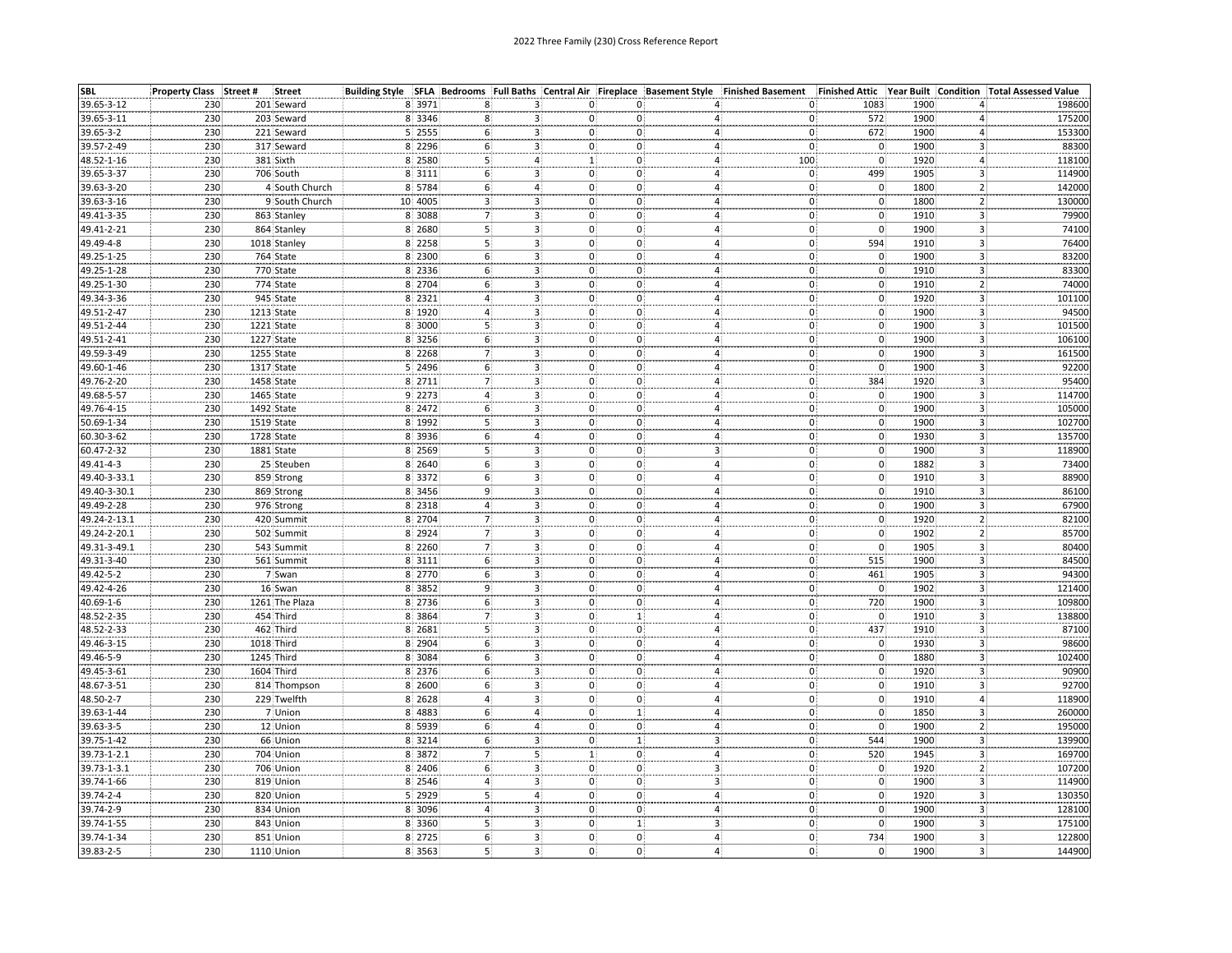| <b>SBL</b>               | Property Class Street # | <b>Street</b>            |                  |                      |    |                                                          |                                  | Building Style SFLA Bedrooms Full Baths Central Air Fireplace Basement Style Finished Basement |                                                     | Finished Attic Year Built Condition Total Assessed Value |        |
|--------------------------|-------------------------|--------------------------|------------------|----------------------|----|----------------------------------------------------------|----------------------------------|------------------------------------------------------------------------------------------------|-----------------------------------------------------|----------------------------------------------------------|--------|
| 39.65-3-12               | 230                     | 201 Seward               | 8 3971           |                      |    | 0.<br>З.                                                 | 0.                               |                                                                                                | 1083<br>0,                                          | 1900<br>4.                                               | 198600 |
| 39.65-3-11               | 230                     | 203 Seward               | 8 3346           |                      |    | 0                                                        | 0                                | 0.<br>4                                                                                        | 572                                                 | 1900<br>4                                                | 175200 |
| 39.65-3-2                | 230                     | 221 Seward               | 5 2555           | 6                    |    | 3 <sup>1</sup><br>0.                                     | $\mathbf{0}$                     | 4                                                                                              | 0ł<br>672                                           | 1900<br>4                                                | 153300 |
| 39.57-2-49               | 230                     | 317 Seward               | 8 2296           | 6                    |    | 0<br>3.                                                  | $\mathbf{0}$                     | 0Ì<br>4                                                                                        | $\mathbf{0}$                                        | 1900<br>3                                                | 88300  |
| $48.52 - 1 - 16$         | 230                     | 381 Sixth                | 8 2580           | 5                    |    | 4.<br>1:                                                 | 0.                               | 100<br>4.                                                                                      | $\mathsf{o}$                                        | 1920<br>4                                                | 118100 |
| 39.65-3-37               | 230                     | 706 South                | 8 3111           | 6                    |    | 3 <sup>1</sup><br>$\mathbf{0}$                           | $0^{\circ}$                      | 4 <sup>1</sup><br>0                                                                            | 499                                                 | $\overline{\mathbf{3}}$<br>1905                          | 114900 |
| 39.63-3-20               | 230                     | 4 South Church           | 8 5784           | 6                    |    | $\overline{4}$<br>$\mathbf 0$                            | $\mathbf{0}$                     | 4 <sub>1</sub>                                                                                 | $\mathbf 0$                                         | 1800                                                     | 142000 |
| 39.63-3-16               | 230                     | 9 South Church           | 10 4005          | $\overline{3}$       |    | $\mathbf 0$<br>3.                                        | $\mathbf{0}$                     | 4:                                                                                             | $\begin{matrix} 0 \ 0 \end{matrix}$<br>$\mathbf{0}$ | $\frac{2}{2}$<br>1800                                    | 130000 |
| 49.41-3-35               | 230                     | 863 Stanley              | 8 3088           |                      |    | 3 <sup>1</sup><br>0:                                     | $\mathbf{0}$                     | $\mathbf{0}$<br>4 <sup>1</sup>                                                                 | $\overline{0}$                                      | $\overline{3}$<br>1910                                   | 79900  |
| 49.41-2-21               | 230                     | 864 Stanley              | 8 2680           | 5(                   |    | 3 <sub>1</sub><br>$\mathbf 0$ .                          | $\mathbf 0$                      | $\overline{4}$<br>$\mathbf{0}$                                                                 | $\mathbf 0$ .                                       | 3<br>1900                                                | 74100  |
| 49.49-4-8                | 230                     | 1018 Stanley             | 8 2258           | 5                    |    | 3 <sup>2</sup><br>$\mathbf{0}$                           | $\mathbf{0}$                     | 4:                                                                                             | 0)<br>594                                           | $\overline{\mathbf{3}}$<br>1910                          | 76400  |
| 49.25-1-25               | 230                     | 764 State                | 8 2300           | 6 <sup>1</sup>       |    | 3<br>0:                                                  | $\mathbf{0}$                     | $\overline{4}$                                                                                 | 0)                                                  | $\overline{\mathbf{3}}$<br>1900                          | 83200  |
| 49.25-1-28               | 230                     | 770 State                | 8 2336           | 6                    | 3  | 0:                                                       | $\mathbf{0}$                     | 4                                                                                              | $0$<br>$0$<br>0                                     | 1910<br>3                                                | 83300  |
| 49.25-1-30               | 230                     | 774 State                | 8 2704           | 6                    |    | 3.<br>0.                                                 | 0.                               | 0<br>4                                                                                         | 0                                                   | 1910<br>$\mathbf{2}$                                     | 74000  |
| 49.34-3-36               | 230                     | 945 State                | 8 2321           |                      |    | $3^{\circ}$<br>$\mathbf{0}$                              | $0^{\circ}$                      | 4:<br>$\mathbf{0}$                                                                             | $\overline{0}$                                      | $\overline{\mathbf{3}}$<br>1920                          | 101100 |
| 49.51-2-47               | 230                     | 1213 State               | 8 1920           | $\overline{4}$       |    | 3 <sup>1</sup><br>$\mathbf{0}$                           | 0.                               | 4:                                                                                             | $\mathbf 0$<br>0)                                   | 1900<br>3                                                | 94500  |
| 49.51-2-44               | 230                     | 1221 State               | 8 3000           | 5                    |    | 0<br>3.                                                  | 0                                | 4:                                                                                             | O)<br>0.                                            | $\overline{\mathbf{3}}$<br>1900                          | 101500 |
| 49.51-2-41               | 230                     | 1227 State               | 8 3256           | 6                    |    | 3 <sup>1</sup><br>$\mathbf{0}$                           | 0                                | $\overline{4}$<br>$\mathbf{0}$                                                                 | $\mathbf 0$                                         | $\overline{3}$<br>1900                                   | 106100 |
| 49.59-3-49               | 230                     | 1255 State               | 8 2268           | $\overline{7}$       |    | 3 <sup>1</sup><br>$\mathbf{0}$                           | $\mathbf{0}$                     | 4 <sub>1</sub>                                                                                 | $\mathbf{0}$<br>$\mathsf{o}$                        | 3.<br>1900                                               | 161500 |
| 49.60-1-46               | 230                     | 1317 State               | 5 2496           | 6                    |    | $\mathbf{0}$<br>З.                                       | $\mathbf{0}$                     | $\overline{4}$                                                                                 | 0{<br>0                                             | 1900<br>3.                                               | 92200  |
| 49.76-2-20               | 230                     | 1458 State               | 8 2711           |                      |    | 3.<br>$\mathbf{0}$                                       | 0                                | $\overline{4}$ :                                                                               | 384<br>0                                            | 3<br>1920                                                | 95400  |
| 49.68-5-57               | 230                     | 1465 State               | 9 2273           |                      | з. | 0.                                                       | $\mathbf{0}$                     | 4                                                                                              | $\overline{0}$<br>O)                                | 1900<br>3                                                | 114700 |
| 49.76-4-15               | 230                     | 1492 State               | 8 2472           | 6                    |    | $\mathbf{0}$<br>з.                                       | $\mathbf{0}$                     | $\mathbf{0}$<br>4                                                                              | 0                                                   | 1900<br>3                                                | 105000 |
| 50.69-1-34               | 230                     | 1519 State               | 8 1992           |                      |    | $\Omega$ :<br>3                                          | 0 <sub>1</sub>                   | 4 <sub>1</sub><br>0)                                                                           | $\mathbf{0}$                                        | 3<br>1900                                                | 102700 |
| 60.30-3-62               | 230                     | 1728 State               | 8 3936           | 6 <sup>1</sup>       |    | 0:<br>4.                                                 | 0.                               | 4 <sup>1</sup>                                                                                 | $\mathbf{0}$<br>0                                   | 1930<br>$\mathbf{3}$                                     | 135700 |
| 60.47-2-32               | 230                     | 1881 State               | 8 2569           | 5                    |    | $0^{\circ}$<br>3 <sup>1</sup>                            | $0^{\circ}$                      | $\overline{3}$                                                                                 | $\mathbf{0}$<br>0                                   | 3<br>1900                                                | 118900 |
| 49.41-4-3                | 230                     | 25 Steuben               | 8 2640           |                      |    | 3 <sup>1</sup><br>0.                                     | $\mathbf 0$                      | $\overline{4}$                                                                                 | $\mathbf{0}$<br>0)                                  | 1882<br>3                                                | 73400  |
| 49.40-3-33.1             | 230                     | 859 Strong               | 8 3372           | 6                    | 3. | 0.                                                       | 0                                | 4                                                                                              | $\overline{0}$<br>0                                 | 1910<br>3                                                | 88900  |
| 49.40-3-30.1             |                         |                          | 8 3456           |                      |    | 0                                                        | $\mathbf{0}$                     | 4:                                                                                             |                                                     | 1910<br>3                                                | 86100  |
| 49.49-2-28               | 230<br>230              | 869 Strong<br>976 Strong | 8 2318           |                      |    | 3 <sub>1</sub><br>3 <sup>1</sup><br>$\mathbf{0}$         | $\mathbf{0}$                     | 0<br>4 <sup>1</sup>                                                                            | $\mathbf{0}$<br>$\mathbf{0}$<br>0ł                  | 1900<br>3                                                | 67900  |
| 49.24-2-13.1             | 230                     | 420 Summit               | 8 2704           |                      |    | $0^{\circ}$<br>3.                                        | $\mathbf{0}$                     | 0)                                                                                             | $\mathbf{0}$                                        | 1920<br>$\overline{2}$                                   | 82100  |
| 49.24-2-20.1             | 230                     | 502 Summit               | 8 2924           |                      |    | $\mathbf{0}$                                             | 0.                               | 4<br>$\mathbf{0}$<br>4                                                                         |                                                     | 1902<br>$\overline{2}$ :                                 | 85700  |
| 49.31-3-49.1             | 230                     | 543 Summit               | 8 2260           |                      | 3  | $\mathbf{3}$<br>$\mathbf{0}$                             | $\overline{0}$                   | 0)<br>4                                                                                        | $\begin{matrix} 0 \\ 0 \end{matrix}$                | 1905<br>3.                                               | 80400  |
| 49.31-3-40               | 230                     | 561 Summit               | 8 3111           | 6                    |    | 3.<br>$\mathbf{0}$                                       | $\mathbf{0}$                     | 0<br>4 <sub>i</sub>                                                                            | 515                                                 | 3<br>1900                                                | 84500  |
| 49.42-5-2                | 230                     | 7 Swan                   | 8 2770           | 6 <sup>1</sup>       |    | 3 <sup>1</sup><br>$\mathbf{0}$                           | $\mathbf{0}$                     | $\overline{4}$                                                                                 | 0)<br>461                                           | $\overline{\mathbf{3}}$<br>1905                          | 94300  |
| 49.42-4-26               | 230                     | 16 Swan                  | 8 3852           | 9                    |    | $\mathbf{0}$<br>3                                        | $\mathbf{0}$                     | 4 <sup>1</sup><br>$ 0\rangle$                                                                  | $\mathbf 0$ .                                       | 1902<br>3                                                | 121400 |
| 40.69-1-6                | 230                     | 1261 The Plaza           | 8 2736           |                      |    | 0:<br>3.                                                 | $\mathbf{0}$                     | 4                                                                                              | 0<br>720                                            | 1900<br>3                                                | 109800 |
|                          |                         | 454 Third                |                  | 6(<br>$\overline{7}$ |    |                                                          |                                  |                                                                                                |                                                     | 1910                                                     | 138800 |
| 48.52-2-35<br>48.52-2-33 | 230<br>230              | 462 Third                | 8 3864<br>8 2681 |                      |    | $\mathbf{3}_{1}$<br>0.<br>$\overline{3}$<br>$\mathbf{0}$ | 1:<br>$\mathbf{0}$               | $\frac{0}{0}$<br>$\overline{4}$<br>$\overline{4}$                                              | $\mathbf 0$<br>437                                  | 3<br>$\overline{\mathbf{3}}$<br>1910                     | 87100  |
| 49.46-3-15               | 230                     | 1018 Third               | 8 2904           | 6                    |    | 0:<br>3.                                                 | 0:                               | 0                                                                                              | $\mathbf 0$                                         | $\overline{3}$<br>1930                                   | 98600  |
|                          |                         | 1245 Third               |                  | 6 <sup>1</sup>       |    | $\mathbf{0}$                                             | $\mathbf{0}$                     | 4                                                                                              | $\mathsf{o}$<br>0                                   | 1880                                                     | 102400 |
| 49.46-5-9<br>49.45-3-61  | 230<br>230              | 1604 Third               | 8 3084<br>8 2376 |                      |    | 3.<br>3 <sup>1</sup><br>$\mathbf{0}$                     | $\mathbf{0}$                     | 4:<br>$\overline{4}$<br>0                                                                      |                                                     | 3.<br>$\overline{3}$<br>1920                             | 90900  |
|                          | 230                     |                          |                  | 6(                   |    |                                                          |                                  |                                                                                                | $\mathbf 0$ .<br>$\mathbf{0}$                       | $\overline{\mathbf{3}}$                                  | 92700  |
| 48.67-3-51               |                         | 814 Thompson             | 8 2600           | 6                    |    | 3.<br>0:                                                 | 0.                               | $\mathbf{0}$<br>4.                                                                             |                                                     | 1910                                                     |        |
| 48.50-2-7                | 230                     | 229 Twelfth              | 8 2628           | $\overline{4}$       |    | 3 <sup>1</sup><br>$\mathbf{0}$                           | 0                                | 4 <sup>1</sup>                                                                                 | $\mathbf{0}$<br>0                                   | 4<br>1910                                                | 118900 |
| 39.63-1-44               | 230                     | 7 Union                  | 8 4883           | 6                    |    | $\overline{4}$<br>$\mathsf{O}$ .                         | 1 <sup>1</sup>                   | 4 <sup>1</sup>                                                                                 | 0<br>$\mathbf 0$                                    | 3 <sup>1</sup><br>1850                                   | 260000 |
| 39.63-3-5                | 230                     | 12 Union                 | 8 5939           | 6.                   |    | 0.<br>4:                                                 | 0.                               | 4                                                                                              | $\overline{0}$<br>0                                 | 2 <sup>1</sup><br>1900                                   | 195000 |
| 39.75-1-42               | 230                     | 66 Union                 | 8 3214           | 6                    |    | $\mathbf{3}$                                             | $\mathbf{0}$<br>$\overline{1}$ : | $\mathbf{3}$                                                                                   | $\begin{matrix} 0 \ 0 \end{matrix}$<br>544          | 1900<br>3                                                | 139900 |
| 39.73-1-2.1              | 230                     | 704 Union                | 8 3872           |                      |    | 1:                                                       | $\mathbf 0$                      | $\overline{4}$                                                                                 | 520                                                 | 1945<br>3                                                | 169700 |
| 39.73-1-3.1              | 230                     | 706 Union                | 8 2406           |                      |    | 0.<br>з.                                                 | $\mathbf{0}$                     | з,<br>$\mathbf{0}$                                                                             | $\begin{matrix} 0 \\ 0 \end{matrix}$                | 1920<br>$\overline{2}$                                   | 107200 |
| 39.74-1-66               | 230                     | 819 Union                | 8 2546           |                      |    | 3 <sub>1</sub><br>0.                                     | $0^{\circ}$                      | 3 <sub>1</sub>                                                                                 | 0ł                                                  | 1900<br>3,                                               | 114900 |
| 39.74-2-4                | 230                     | 820 Union                | 5 2929           |                      |    | $\overline{4}$<br>$\mathbf{0}$                           | $\mathbf{0}$                     | 4:                                                                                             | ٥į<br>$\mathbf{0}$                                  | $\overline{\mathbf{3}}$<br>1920                          | 130350 |
| 39.74-2-9                | 230                     | 834 Union                | 8 3096           |                      |    | 3.<br>0:                                                 | $\mathbf{0}$                     | 4<br>0.                                                                                        | $\mathbf 0$                                         | 1900<br>3                                                | 128100 |
| 39.74-1-55               | 230                     | 843 Union                | 8 3360           | 5                    |    | 3.<br>$\mathbf{0}$                                       | 1 <sup>1</sup>                   | 3 <sup>1</sup>                                                                                 | $\mathbf{0}$<br>0ł                                  | 1900<br>3                                                | 175100 |
| 39.74-1-34               | 230                     | 851 Union                | 8 2725           | 6                    |    | $\mathsf{O}$ .<br>3 <sub>1</sub>                         | 0 <sup>1</sup>                   | 4 <sup>1</sup>                                                                                 | 0)<br>734<br>$\mathfrak{o}$                         | 1900<br>3 <sup>1</sup>                                   | 122800 |
| 39.83-2-5                | 230                     | 1110 Union               | 8 3563           | $5\}$                |    | 3 <sup>1</sup><br>0.                                     | 0                                | 4                                                                                              | 0                                                   | $\overline{3}$<br>1900                                   | 144900 |